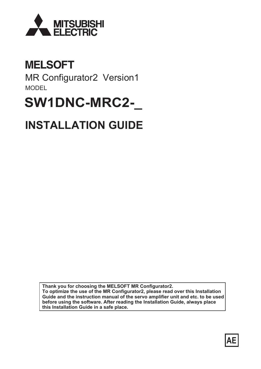

## **MELSOFT**

MR Configurator2 Version1 MODEL

# **SW1DNC-MRC2-\_**

# **INSTALLATION GUIDE**

**Thank you for choosing the MELSOFT MR Configurator2. To optimize the use of the MR Configurator2, please read over this Installation Guide and the instruction manual of the servo amplifier unit and etc. to be used before using the software. After reading the Installation Guide, always place this Installation Guide in a safe place.**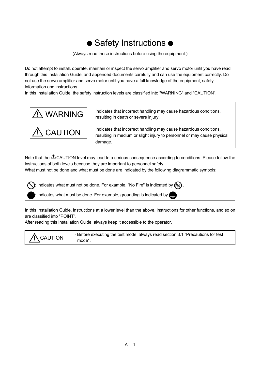## • Safety Instructions •

(Always read these instructions before using the equipment.)

Do not attempt to install, operate, maintain or inspect the servo amplifier and servo motor until you have read through this Installation Guide, and appended documents carefully and can use the equipment correctly. Do not use the servo amplifier and servo motor until you have a full knowledge of the equipment, safety information and instructions.

In this Installation Guide, the safety instruction levels are classified into "WARNING" and "CAUTION".



Note that the  $\triangle$ CAUTION level may lead to a serious consequence according to conditions. Please follow the instructions of both levels because they are important to personnel safety.

What must not be done and what must be done are indicated by the following diagrammatic symbols:

): Indicates what must not be done. For example, "No Fire" is indicated by  $\textcircled{\tiny{N}}$  .

Indicates what must be done. For example, grounding is indicated by  $\bigoplus$ .

In this Installation Guide, instructions at a lower level than the above, instructions for other functions, and so on are classified into "POINT".

After reading this Installation Guide, always keep it accessible to the operator.

Before executing the test mode, always read section 3.1 "Precautions for test<br>
CAUTION reade." mode".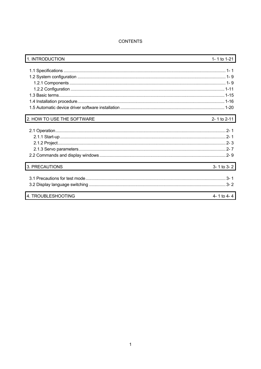## **CONTENTS**

| 1. INTRODUCTION            | 1- 1 to 1-21       |
|----------------------------|--------------------|
|                            |                    |
|                            |                    |
|                            |                    |
|                            |                    |
|                            |                    |
|                            |                    |
|                            |                    |
|                            |                    |
| 2. HOW TO USE THE SOFTWARE | 2-1 to 2-11        |
|                            |                    |
|                            |                    |
|                            |                    |
|                            |                    |
|                            |                    |
|                            |                    |
| 3. PRECAUTIONS             | $3 - 1$ to $3 - 2$ |
|                            |                    |
|                            |                    |
|                            |                    |
| 4. TROUBLESHOOTING         | 4 - 1 to 4 - 4     |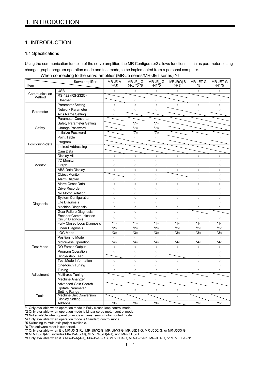## 1. INTRODUCTION

#### 1.1 Specifications

Using the communication function of the servo amplifier, the MR Configurator2 allows functions, such as parameter setting change, graph, program operation mode and test mode, to be implemented from a personal computer.

| Item                                                                   | Servo amplifier                                          | MR-J5-A<br>$(-RJ)$                                                                                                                                                                                                                                                                                                                                                                                                                                                                                                                                                                                                                                                                                                                                                                                                                                                                                                                                                                                                                                                                                                                                                                                                                                                                                                                                                                                                                                                                                                                                             | <b>MR-J5 -G</b><br>$(-RJ)*5*8$ | MR-J5 -G<br>$-N1*5$ | MR-J5(W)-B<br>$(-RJ)$ | MR-JET-G<br>*5 | MR-JET-G<br>$-N1*5$ |
|------------------------------------------------------------------------|----------------------------------------------------------|----------------------------------------------------------------------------------------------------------------------------------------------------------------------------------------------------------------------------------------------------------------------------------------------------------------------------------------------------------------------------------------------------------------------------------------------------------------------------------------------------------------------------------------------------------------------------------------------------------------------------------------------------------------------------------------------------------------------------------------------------------------------------------------------------------------------------------------------------------------------------------------------------------------------------------------------------------------------------------------------------------------------------------------------------------------------------------------------------------------------------------------------------------------------------------------------------------------------------------------------------------------------------------------------------------------------------------------------------------------------------------------------------------------------------------------------------------------------------------------------------------------------------------------------------------------|--------------------------------|---------------------|-----------------------|----------------|---------------------|
|                                                                        | <b>USB</b>                                               | $\circ$                                                                                                                                                                                                                                                                                                                                                                                                                                                                                                                                                                                                                                                                                                                                                                                                                                                                                                                                                                                                                                                                                                                                                                                                                                                                                                                                                                                                                                                                                                                                                        | $\circ$                        | $\circ$             | $\circ$               | $\circ$        | $\circ$             |
| Communication<br>Method<br>Parameter<br>Safety<br>Monitor<br>Diagnosis | RS-422 (RS-232C)                                         |                                                                                                                                                                                                                                                                                                                                                                                                                                                                                                                                                                                                                                                                                                                                                                                                                                                                                                                                                                                                                                                                                                                                                                                                                                                                                                                                                                                                                                                                                                                                                                |                                |                     |                       |                |                     |
|                                                                        | Ethernet                                                 | $\circ$<br>$\circ$<br>$\circ$<br>$\circ$<br>$\circ$<br>$\circ$<br>$\circ$<br>$\circ$<br>$\circ$<br>$\circ$<br>$\circ$<br>$\circ$<br>$\circ$<br>$*7\circ$<br>*70<br>$*7\circ$<br>*70<br>$*7\circ$<br>$*7\circ$<br>$\circ$<br>$\circ$<br>$\circ$<br>$\circ$<br>$\circ$<br>$\circ$<br>$\circ$<br>$\circ$<br>$\circ$<br>$\circ$<br>$\circ$<br>$\circ$<br>$\circ$<br>$\circ$<br>$\circ$<br>$\circ$<br>$\circ$<br>$\circ$<br>$\circ$<br>$\circ$<br>$\circ$<br>$\circ$<br>$\circ$<br>$\circ$<br>$\circ$<br>$\circ$<br>$\circ$<br>$\circ$<br>$\circ$<br>$\circ$<br>$\circ$<br>$\circ$<br>$\circ$<br>$\circ$<br>$\circ$<br>$\circ$<br>$\circ$<br>$\circ$<br>$\circ$<br>$\circ$<br>$\circ$<br>$\circ$<br>$\circ$<br>$\circ$<br>$\circ$<br>$\circ$<br>$\circ$<br>$\circ$<br>$\circ$<br>$\circ$<br>$\circ$<br>$\circ$<br>$\circ$<br>$\circ$<br>$\circ$<br>$\circ$<br>$\circ$<br>$\circ$<br>$\circ$<br>$\circ$<br>$\circ$<br>$\circ$<br>$\circ$<br>$\circ$<br>$\circ$<br>$\circ$<br>$\circ$<br>$\circ$<br>$\circ$<br>$\circ$<br>$*1\circ$<br>*1○<br>$*1\circ$<br>$*1\circ$<br>$*1\circ$<br>*2∘<br>*2○<br>*2∘<br>*2○<br>*2○<br>*3○<br>*3○<br>*3○<br>*3○<br>*3○<br>$\circ$<br>$\circ$<br>$\circ$<br>$\circ$<br>$\circ$<br>*4⊙<br>*4⊙<br>*4⊙<br>*4⊙<br>*4⊙<br>$\circ$<br>$\circ$<br>$\circ$<br>$\circ$<br>$\circ$<br>$\circ$<br>$\circ$<br>$\circ$<br>$\circ$<br>$\circ$<br>$\circ$<br>$\circ$<br>$\circ$<br>$\circ$<br>$\circ$<br>$\circ$<br>$\circ$<br>$\circ$<br>$\circ$<br>$\circ$<br>$\circ$<br>$\circ$<br>$\circ$<br>$\circ$<br>$\circ$<br>$\circ$<br>$\circ$<br>$\circ$ | $\circ$                        |                     |                       |                |                     |
|                                                                        | <b>Parameter Setting</b>                                 |                                                                                                                                                                                                                                                                                                                                                                                                                                                                                                                                                                                                                                                                                                                                                                                                                                                                                                                                                                                                                                                                                                                                                                                                                                                                                                                                                                                                                                                                                                                                                                |                                |                     |                       |                | $\circ$             |
|                                                                        | Network Parameter                                        |                                                                                                                                                                                                                                                                                                                                                                                                                                                                                                                                                                                                                                                                                                                                                                                                                                                                                                                                                                                                                                                                                                                                                                                                                                                                                                                                                                                                                                                                                                                                                                |                                |                     |                       |                | $\circ$             |
|                                                                        | Axis Name Setting                                        |                                                                                                                                                                                                                                                                                                                                                                                                                                                                                                                                                                                                                                                                                                                                                                                                                                                                                                                                                                                                                                                                                                                                                                                                                                                                                                                                                                                                                                                                                                                                                                |                                |                     |                       |                |                     |
|                                                                        | Parameter Converter                                      |                                                                                                                                                                                                                                                                                                                                                                                                                                                                                                                                                                                                                                                                                                                                                                                                                                                                                                                                                                                                                                                                                                                                                                                                                                                                                                                                                                                                                                                                                                                                                                |                                |                     |                       |                |                     |
|                                                                        | Safety Parameter Setting                                 |                                                                                                                                                                                                                                                                                                                                                                                                                                                                                                                                                                                                                                                                                                                                                                                                                                                                                                                                                                                                                                                                                                                                                                                                                                                                                                                                                                                                                                                                                                                                                                |                                |                     |                       |                |                     |
| Positioning-data<br><b>Test Mode</b><br>Adjustment                     | Change Password                                          |                                                                                                                                                                                                                                                                                                                                                                                                                                                                                                                                                                                                                                                                                                                                                                                                                                                                                                                                                                                                                                                                                                                                                                                                                                                                                                                                                                                                                                                                                                                                                                |                                |                     |                       |                |                     |
|                                                                        | Initialize Password                                      |                                                                                                                                                                                                                                                                                                                                                                                                                                                                                                                                                                                                                                                                                                                                                                                                                                                                                                                                                                                                                                                                                                                                                                                                                                                                                                                                                                                                                                                                                                                                                                |                                |                     |                       |                |                     |
|                                                                        | Point Table                                              |                                                                                                                                                                                                                                                                                                                                                                                                                                                                                                                                                                                                                                                                                                                                                                                                                                                                                                                                                                                                                                                                                                                                                                                                                                                                                                                                                                                                                                                                                                                                                                |                                |                     |                       |                | $\circ$             |
|                                                                        | Program                                                  |                                                                                                                                                                                                                                                                                                                                                                                                                                                                                                                                                                                                                                                                                                                                                                                                                                                                                                                                                                                                                                                                                                                                                                                                                                                                                                                                                                                                                                                                                                                                                                |                                |                     |                       |                |                     |
|                                                                        | <b>Indirect Addressing</b>                               |                                                                                                                                                                                                                                                                                                                                                                                                                                                                                                                                                                                                                                                                                                                                                                                                                                                                                                                                                                                                                                                                                                                                                                                                                                                                                                                                                                                                                                                                                                                                                                |                                |                     |                       |                |                     |
|                                                                        | Cam Data                                                 |                                                                                                                                                                                                                                                                                                                                                                                                                                                                                                                                                                                                                                                                                                                                                                                                                                                                                                                                                                                                                                                                                                                                                                                                                                                                                                                                                                                                                                                                                                                                                                |                                |                     |                       |                |                     |
|                                                                        | Display All                                              |                                                                                                                                                                                                                                                                                                                                                                                                                                                                                                                                                                                                                                                                                                                                                                                                                                                                                                                                                                                                                                                                                                                                                                                                                                                                                                                                                                                                                                                                                                                                                                |                                |                     |                       |                | $\circ$             |
|                                                                        | I/O Monitor                                              |                                                                                                                                                                                                                                                                                                                                                                                                                                                                                                                                                                                                                                                                                                                                                                                                                                                                                                                                                                                                                                                                                                                                                                                                                                                                                                                                                                                                                                                                                                                                                                |                                |                     |                       |                | $\circ$             |
|                                                                        | Graph                                                    |                                                                                                                                                                                                                                                                                                                                                                                                                                                                                                                                                                                                                                                                                                                                                                                                                                                                                                                                                                                                                                                                                                                                                                                                                                                                                                                                                                                                                                                                                                                                                                |                                |                     |                       |                | $\circ$             |
|                                                                        | <b>ABS Data Display</b>                                  |                                                                                                                                                                                                                                                                                                                                                                                                                                                                                                                                                                                                                                                                                                                                                                                                                                                                                                                                                                                                                                                                                                                                                                                                                                                                                                                                                                                                                                                                                                                                                                |                                |                     |                       |                | $\circ$             |
|                                                                        | <b>Object Monitor</b>                                    |                                                                                                                                                                                                                                                                                                                                                                                                                                                                                                                                                                                                                                                                                                                                                                                                                                                                                                                                                                                                                                                                                                                                                                                                                                                                                                                                                                                                                                                                                                                                                                |                                |                     |                       |                | $\circ$             |
|                                                                        | Alarm Display                                            |                                                                                                                                                                                                                                                                                                                                                                                                                                                                                                                                                                                                                                                                                                                                                                                                                                                                                                                                                                                                                                                                                                                                                                                                                                                                                                                                                                                                                                                                                                                                                                |                                |                     |                       |                | $\circ$             |
|                                                                        | Alarm Onset Data                                         |                                                                                                                                                                                                                                                                                                                                                                                                                                                                                                                                                                                                                                                                                                                                                                                                                                                                                                                                                                                                                                                                                                                                                                                                                                                                                                                                                                                                                                                                                                                                                                |                                |                     |                       |                | $\circ$             |
|                                                                        | <b>Drive Recorder</b>                                    |                                                                                                                                                                                                                                                                                                                                                                                                                                                                                                                                                                                                                                                                                                                                                                                                                                                                                                                                                                                                                                                                                                                                                                                                                                                                                                                                                                                                                                                                                                                                                                |                                |                     |                       |                | $\circ$             |
|                                                                        | No Motor Rotation                                        |                                                                                                                                                                                                                                                                                                                                                                                                                                                                                                                                                                                                                                                                                                                                                                                                                                                                                                                                                                                                                                                                                                                                                                                                                                                                                                                                                                                                                                                                                                                                                                |                                |                     |                       |                | $\circ$             |
|                                                                        | System Configuration                                     |                                                                                                                                                                                                                                                                                                                                                                                                                                                                                                                                                                                                                                                                                                                                                                                                                                                                                                                                                                                                                                                                                                                                                                                                                                                                                                                                                                                                                                                                                                                                                                |                                |                     |                       |                | $\circ$             |
|                                                                        | Life Diagnosis                                           |                                                                                                                                                                                                                                                                                                                                                                                                                                                                                                                                                                                                                                                                                                                                                                                                                                                                                                                                                                                                                                                                                                                                                                                                                                                                                                                                                                                                                                                                                                                                                                |                                |                     |                       |                | $\circ$             |
|                                                                        | <b>Machine Diagnosis</b>                                 |                                                                                                                                                                                                                                                                                                                                                                                                                                                                                                                                                                                                                                                                                                                                                                                                                                                                                                                                                                                                                                                                                                                                                                                                                                                                                                                                                                                                                                                                                                                                                                |                                |                     |                       |                | $\circ$             |
|                                                                        | Gear Failure Diagnosis                                   |                                                                                                                                                                                                                                                                                                                                                                                                                                                                                                                                                                                                                                                                                                                                                                                                                                                                                                                                                                                                                                                                                                                                                                                                                                                                                                                                                                                                                                                                                                                                                                |                                |                     |                       |                |                     |
|                                                                        | <b>Encoder Communication</b><br><b>Circuit Diagnosis</b> |                                                                                                                                                                                                                                                                                                                                                                                                                                                                                                                                                                                                                                                                                                                                                                                                                                                                                                                                                                                                                                                                                                                                                                                                                                                                                                                                                                                                                                                                                                                                                                |                                |                     |                       |                | $\circ$             |
|                                                                        | Fully Closed Loop Diagnosis                              |                                                                                                                                                                                                                                                                                                                                                                                                                                                                                                                                                                                                                                                                                                                                                                                                                                                                                                                                                                                                                                                                                                                                                                                                                                                                                                                                                                                                                                                                                                                                                                |                                |                     |                       |                | $*1\circ$           |
| Tools                                                                  | Linear Diagnosis                                         |                                                                                                                                                                                                                                                                                                                                                                                                                                                                                                                                                                                                                                                                                                                                                                                                                                                                                                                                                                                                                                                                                                                                                                                                                                                                                                                                                                                                                                                                                                                                                                |                                |                     |                       |                | *2○                 |
|                                                                        | JOG Mode                                                 |                                                                                                                                                                                                                                                                                                                                                                                                                                                                                                                                                                                                                                                                                                                                                                                                                                                                                                                                                                                                                                                                                                                                                                                                                                                                                                                                                                                                                                                                                                                                                                |                                |                     |                       |                | *3○                 |
|                                                                        | Positioning Mode                                         |                                                                                                                                                                                                                                                                                                                                                                                                                                                                                                                                                                                                                                                                                                                                                                                                                                                                                                                                                                                                                                                                                                                                                                                                                                                                                                                                                                                                                                                                                                                                                                |                                |                     |                       |                | $\circ$             |
|                                                                        | Motor-less Operation                                     |                                                                                                                                                                                                                                                                                                                                                                                                                                                                                                                                                                                                                                                                                                                                                                                                                                                                                                                                                                                                                                                                                                                                                                                                                                                                                                                                                                                                                                                                                                                                                                |                                |                     |                       |                | *4⊙                 |
|                                                                        | DO Forced Output                                         |                                                                                                                                                                                                                                                                                                                                                                                                                                                                                                                                                                                                                                                                                                                                                                                                                                                                                                                                                                                                                                                                                                                                                                                                                                                                                                                                                                                                                                                                                                                                                                |                                |                     |                       |                | $\circ$             |
|                                                                        | Program Operation                                        |                                                                                                                                                                                                                                                                                                                                                                                                                                                                                                                                                                                                                                                                                                                                                                                                                                                                                                                                                                                                                                                                                                                                                                                                                                                                                                                                                                                                                                                                                                                                                                |                                |                     |                       |                | $\circ$             |
|                                                                        | Single-step Feed                                         |                                                                                                                                                                                                                                                                                                                                                                                                                                                                                                                                                                                                                                                                                                                                                                                                                                                                                                                                                                                                                                                                                                                                                                                                                                                                                                                                                                                                                                                                                                                                                                |                                |                     |                       |                | $\circ$             |
|                                                                        | <b>Test Mode Information</b>                             |                                                                                                                                                                                                                                                                                                                                                                                                                                                                                                                                                                                                                                                                                                                                                                                                                                                                                                                                                                                                                                                                                                                                                                                                                                                                                                                                                                                                                                                                                                                                                                |                                |                     |                       |                | $\circ$             |
|                                                                        | One-touch Tuning                                         |                                                                                                                                                                                                                                                                                                                                                                                                                                                                                                                                                                                                                                                                                                                                                                                                                                                                                                                                                                                                                                                                                                                                                                                                                                                                                                                                                                                                                                                                                                                                                                |                                |                     |                       |                | $\circ$             |
|                                                                        | Tuning                                                   |                                                                                                                                                                                                                                                                                                                                                                                                                                                                                                                                                                                                                                                                                                                                                                                                                                                                                                                                                                                                                                                                                                                                                                                                                                                                                                                                                                                                                                                                                                                                                                |                                |                     |                       |                | $\circ$             |
|                                                                        | Multi-axis Tuning                                        |                                                                                                                                                                                                                                                                                                                                                                                                                                                                                                                                                                                                                                                                                                                                                                                                                                                                                                                                                                                                                                                                                                                                                                                                                                                                                                                                                                                                                                                                                                                                                                |                                |                     |                       |                |                     |
|                                                                        | Machine Analyzer                                         | $\circ$                                                                                                                                                                                                                                                                                                                                                                                                                                                                                                                                                                                                                                                                                                                                                                                                                                                                                                                                                                                                                                                                                                                                                                                                                                                                                                                                                                                                                                                                                                                                                        | $\circ$                        | $\circ$             | $\circ$               | $\circ$        | $\circ$             |
|                                                                        | Advanced Gain Search                                     |                                                                                                                                                                                                                                                                                                                                                                                                                                                                                                                                                                                                                                                                                                                                                                                                                                                                                                                                                                                                                                                                                                                                                                                                                                                                                                                                                                                                                                                                                                                                                                |                                |                     |                       |                |                     |
|                                                                        | <b>Update Parameter</b><br><b>Setting Range</b>          | $\circ$                                                                                                                                                                                                                                                                                                                                                                                                                                                                                                                                                                                                                                                                                                                                                                                                                                                                                                                                                                                                                                                                                                                                                                                                                                                                                                                                                                                                                                                                                                                                                        | $\circ$                        | $\circ$             | $\circ$               | $\circ$        | $\circ$             |
|                                                                        | <b>Machine Unit Conversion</b><br><b>Display Setting</b> |                                                                                                                                                                                                                                                                                                                                                                                                                                                                                                                                                                                                                                                                                                                                                                                                                                                                                                                                                                                                                                                                                                                                                                                                                                                                                                                                                                                                                                                                                                                                                                |                                |                     | $\circ$               |                |                     |
|                                                                        | Add-ons                                                  | $^{\star}\!9\circ$                                                                                                                                                                                                                                                                                                                                                                                                                                                                                                                                                                                                                                                                                                                                                                                                                                                                                                                                                                                                                                                                                                                                                                                                                                                                                                                                                                                                                                                                                                                                             | *9⊙                            | *9⊙                 |                       | *9⊙            | *9⊙                 |

When connecting to the servo amplifier (MR-J5 series/MR-JET series) \*6

\*1 Only available when operation mode is Fully closed loop control mode.

\*2 Only available when operation mode is Linear servo motor control mode.

\*3 Not available when operation mode is Linear servo motor control mode.

\*4 Only available when operation mode is Standard control mode.

\*5 Switching to multi-axis project available.

\*6 The software reset is supported.

\*7 Only available when it is MR-J5-G-RJ, MR-J5W2-G, MR-J5W3-G, MR-J5D1-G, MR-J5D2-G, or MR-J5D3-G.

\*8 MR-J5\_-G(-RJ) includes MR-J5-G(-RJ), MR-J5W\_-G(-RJ), and MR-J5D\_-G.

\*9 Only available when it is MR-J5-A(-RJ), MR-J5-G(-RJ), MR-J5D1-G, MR-J5-G-N1, MR-JET-G, or MR-JET-G-N1.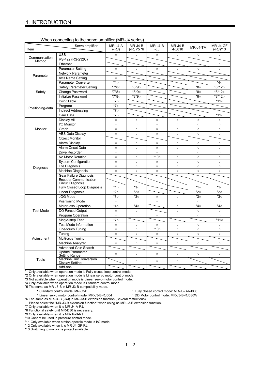|                                                                                                                    | $\frac{1}{2}$                                          |                    |                         |                  |                     |              |                      |
|--------------------------------------------------------------------------------------------------------------------|--------------------------------------------------------|--------------------|-------------------------|------------------|---------------------|--------------|----------------------|
| Item                                                                                                               | Servo amplifier                                        | MR-J4-A<br>$(-RJ)$ | $MR-J4-B$<br>(-RJ)*5 *6 | $MR-J4-B$<br>-LL | $MR-J4-B$<br>-RJ010 | MR-J4-TM     | MR-J4-GF<br>(-RJ)*13 |
|                                                                                                                    | <b>USB</b>                                             | $\circ$            | $\circ$                 | $\circ$          | $\circ$             | $\circ$      | $\circ$              |
|                                                                                                                    | RS-422 (RS-232C)                                       |                    |                         |                  |                     |              |                      |
| Method                                                                                                             | Ethernet                                               |                    |                         |                  |                     |              | $\circ$              |
|                                                                                                                    | <b>Parameter Setting</b>                               | $\circ$            | $\circ$                 | $\circ$          | $\circ$             | $\circ$      | $\circ$              |
| Communication<br>Parameter<br>Safety<br>Positioning-data<br>Monitor<br>Diagnosis<br><b>Test Mode</b><br>Adjustment | Network Parameter                                      |                    |                         |                  |                     |              |                      |
|                                                                                                                    | Axis Name Setting                                      | $\circ$            |                         |                  |                     |              |                      |
|                                                                                                                    | Parameter Converter                                    | $*40$              |                         |                  |                     |              | *4⊙                  |
|                                                                                                                    | <b>Safety Parameter Setting</b>                        | *7*8○              | *8*9○                   |                  |                     | *8○          | *8*12○               |
|                                                                                                                    | Change Password                                        | *7*8○              | *8*9○                   |                  |                     | *8○          | *8*12o               |
|                                                                                                                    | Initialize Password                                    | *7*8○              | *8*9∘                   |                  |                     | *8○          | *8*12o               |
|                                                                                                                    | Point Table                                            | $*7\circ$          |                         |                  |                     |              | $*11\circ$           |
|                                                                                                                    | Program                                                | $*7\circ$          |                         |                  |                     |              |                      |
|                                                                                                                    | <b>Indirect Addressing</b>                             | *7○                |                         |                  |                     |              |                      |
|                                                                                                                    | Cam Data                                               | *7○                |                         |                  |                     |              | $*11\circ$           |
|                                                                                                                    | Display All                                            | $\circ$            | $\circ$                 | $\circ$          | $\circ$             | $\circ$      | $\circ$              |
|                                                                                                                    | I/O Monitor                                            | $\circ$            | $\circ$                 | $\circ$          | $\circ$             | $\circ$      | $\circ$              |
|                                                                                                                    | Graph                                                  | $\circ$            | $\circ$                 | $\circ$          | $\circ$             | $\circ$      | $\circ$              |
|                                                                                                                    | <b>ABS Data Display</b>                                | $\circ$            | $\circ$                 | $\circ$          | $\circ$             | $\circ$      | $\circ$              |
|                                                                                                                    | <b>Object Monitor</b>                                  |                    |                         |                  |                     |              |                      |
|                                                                                                                    | Alarm Display                                          | $\circ$            | $\circ$                 | $\circ$          | $\circ$             | $\circ$      | $\circ$              |
|                                                                                                                    | Alarm Onset Data                                       | $\circ$            | $\circ$                 | $\circ$          | $\circ$             | $\circ$      | $\circ$              |
|                                                                                                                    | Drive Recorder                                         | $\circ$            | $\circ$                 | $\circ$          | $\circ$             | $\circ$      | $\circ$              |
|                                                                                                                    | No Motor Rotation                                      | $\circ$            | $\circ$                 | *10○             | $\circ$             | $\circ$      | $\circ$              |
|                                                                                                                    | System Configuration                                   | $\circ$            | $\circ$                 | $\circ$          | $\circ$             | $\circ$      | $\circ$              |
|                                                                                                                    | Life Diagnosis                                         | $\circ$            | $\circ$                 | $\circ$          | $\circ$             | $\circ$      | $\circ$              |
|                                                                                                                    | <b>Machine Diagnosis</b>                               | $\circ$            | $\circ$                 | $\circ$          | $\circ$             | $\circ$      | $\circ$              |
|                                                                                                                    | Gear Failure Diagnosis                                 |                    |                         |                  |                     |              |                      |
|                                                                                                                    | <b>Encoder Communication</b><br>Circuit Diagnosis      |                    |                         |                  |                     |              |                      |
|                                                                                                                    | Fully Closed Loop Diagnosis                            | $*1\circ$          | $*1\circ$               |                  |                     | *1○          | $*1\circ$            |
| Tools                                                                                                              | Linear Diagnosis                                       | $*2\circ$          | *2○                     |                  |                     | *2○          | *2○                  |
|                                                                                                                    | <b>JOG Mode</b>                                        | *3○                | *3○                     | $\circ$          | $\circ$             | *3○          | *3○                  |
|                                                                                                                    | Positioning Mode                                       | $\circ$            | $\circ$                 | $\circ$          | $\circ$             | $\circ$      | $\circ$              |
|                                                                                                                    | Motor-less Operation                                   | *4⊙                | *4○                     |                  | $\circ$             | $*_{4\circ}$ | *4⊙                  |
|                                                                                                                    | DO Forced Output                                       | $\circ$            | $\circ$                 |                  | $\circ$             | $\circ$      | $\circ$              |
|                                                                                                                    | Program Operation                                      | $\circ$            | $\circ$                 | $\circ$          | $\circ$             | $\circ$      | $\circ$              |
|                                                                                                                    | Single-step Feed                                       | *7○                |                         |                  |                     |              | *11∘                 |
|                                                                                                                    | <b>Test Mode Information</b>                           | $\circ$            | $\circ$                 | $\circ$          | $\circ$             | $\circ$      | $\circ$              |
|                                                                                                                    | One-touch Tuning                                       | $\circ$            | $\circ$                 | *10○             | $\circ$             | $\circ$      | $\circ$              |
|                                                                                                                    | Tuning                                                 | $\circ$            | $\circ$                 | $\circ$          | $\circ$             | $\circ$      | $\circ$              |
|                                                                                                                    | Multi-axis Tuning                                      |                    |                         |                  |                     |              |                      |
|                                                                                                                    | Machine Analyzer                                       | $\circ$            | $\circ$                 | $\circ$          | $\circ$             | $\circ$      | $\circ$              |
|                                                                                                                    | Advanced Gain Search                                   |                    |                         |                  |                     |              |                      |
|                                                                                                                    | <b>Update Parameter</b>                                | $\circ$            | $\circ$                 | $\circ$          | $\circ$             | $\circ$      | $\circ$              |
|                                                                                                                    | <b>Setting Range</b><br><b>Machine Unit Conversion</b> |                    |                         |                  |                     |              |                      |
|                                                                                                                    | <b>Display Setting</b>                                 |                    | $\circ$                 | $\circ$          | $\circ$             |              |                      |
|                                                                                                                    | Add-ons                                                |                    |                         |                  |                     |              |                      |

#### When connecting to the servo amplifier (MR-J4 series)

\*1 Only available when operation mode is Fully closed loop control mode.

\*2 Only available when operation mode is Linear servo motor control mode.

\*3 Not available when operation mode is Linear servo motor control mode. \*4 Only available when operation mode is Standard control mode.

\*5 The same as MR-J3-B in MR-J3-B compatibility mode.

 Standard control mode: MR-J3-B Fully closed control mode: MR-J3-B-RJ006 - Linear servo motor control mode: MR-J3-B-RJ004

\*6 The same as MR-J4-B (-RJ) in MR-J3-B extension function (Several restrictions).

Please select the "MR-J3-B extension function" when using as MR-J3-B extension function.

\*7 Only available when it is MR-J4-A-RJ.

\*8 Functional safety unit MR-D30 is necessary.

\*9 Only available when it is MR-J4-B-RJ.

\*10 Cannot be used in pressure control mode.

\*11 Only available when station-specific mode is I/O mode.

\*12 Only available when it is MR-J4-GF-RJ. \*13 Switching to multi-axis project available.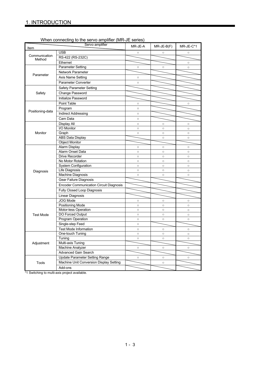|                                                                                                                                                                                                                                                                                                                                                                                                                                                                     | which connecting to the serve amplifer (first off series<br>Servo amplifier | MR-JE-A                                                                                                                                                                                                                                                                                                                                                                                                                                                                                                                                                                                                                                                                                                   | $MR-JE-B(F)$ | MR-JE-C*1          |
|---------------------------------------------------------------------------------------------------------------------------------------------------------------------------------------------------------------------------------------------------------------------------------------------------------------------------------------------------------------------------------------------------------------------------------------------------------------------|-----------------------------------------------------------------------------|-----------------------------------------------------------------------------------------------------------------------------------------------------------------------------------------------------------------------------------------------------------------------------------------------------------------------------------------------------------------------------------------------------------------------------------------------------------------------------------------------------------------------------------------------------------------------------------------------------------------------------------------------------------------------------------------------------------|--------------|--------------------|
| Item                                                                                                                                                                                                                                                                                                                                                                                                                                                                | <b>USB</b>                                                                  | $\circ$                                                                                                                                                                                                                                                                                                                                                                                                                                                                                                                                                                                                                                                                                                   | $\circ$      | $\circ$            |
| Communication                                                                                                                                                                                                                                                                                                                                                                                                                                                       |                                                                             |                                                                                                                                                                                                                                                                                                                                                                                                                                                                                                                                                                                                                                                                                                           |              |                    |
| Method                                                                                                                                                                                                                                                                                                                                                                                                                                                              | Ethernet                                                                    |                                                                                                                                                                                                                                                                                                                                                                                                                                                                                                                                                                                                                                                                                                           |              | $\circ$            |
|                                                                                                                                                                                                                                                                                                                                                                                                                                                                     |                                                                             |                                                                                                                                                                                                                                                                                                                                                                                                                                                                                                                                                                                                                                                                                                           |              | $\circ$            |
| Parameter                                                                                                                                                                                                                                                                                                                                                                                                                                                           | Network Parameter                                                           |                                                                                                                                                                                                                                                                                                                                                                                                                                                                                                                                                                                                                                                                                                           |              |                    |
|                                                                                                                                                                                                                                                                                                                                                                                                                                                                     |                                                                             |                                                                                                                                                                                                                                                                                                                                                                                                                                                                                                                                                                                                                                                                                                           |              |                    |
|                                                                                                                                                                                                                                                                                                                                                                                                                                                                     |                                                                             |                                                                                                                                                                                                                                                                                                                                                                                                                                                                                                                                                                                                                                                                                                           |              |                    |
|                                                                                                                                                                                                                                                                                                                                                                                                                                                                     |                                                                             |                                                                                                                                                                                                                                                                                                                                                                                                                                                                                                                                                                                                                                                                                                           |              |                    |
|                                                                                                                                                                                                                                                                                                                                                                                                                                                                     |                                                                             |                                                                                                                                                                                                                                                                                                                                                                                                                                                                                                                                                                                                                                                                                                           |              |                    |
|                                                                                                                                                                                                                                                                                                                                                                                                                                                                     |                                                                             |                                                                                                                                                                                                                                                                                                                                                                                                                                                                                                                                                                                                                                                                                                           |              |                    |
| <b>Safety Parameter Setting</b><br>Safety<br>Change Password<br>Initialize Password<br>Point Table<br>Program<br>Positioning-data<br><b>Indirect Addressing</b><br>Cam Data<br>Display All<br>I/O Monitor<br>Monitor<br>Graph<br><b>ABS Data Display</b><br><b>Object Monitor</b><br>Alarm Display<br>Alarm Onset Data<br>Drive Recorder<br>No Motor Rotation<br>System Configuration<br>Life Diagnosis<br>Diagnosis<br>Machine Diagnosis<br>Gear Failure Diagnosis |                                                                             |                                                                                                                                                                                                                                                                                                                                                                                                                                                                                                                                                                                                                                                                                                           |              |                    |
|                                                                                                                                                                                                                                                                                                                                                                                                                                                                     |                                                                             |                                                                                                                                                                                                                                                                                                                                                                                                                                                                                                                                                                                                                                                                                                           |              | $\circ$            |
|                                                                                                                                                                                                                                                                                                                                                                                                                                                                     |                                                                             |                                                                                                                                                                                                                                                                                                                                                                                                                                                                                                                                                                                                                                                                                                           |              |                    |
|                                                                                                                                                                                                                                                                                                                                                                                                                                                                     |                                                                             |                                                                                                                                                                                                                                                                                                                                                                                                                                                                                                                                                                                                                                                                                                           |              |                    |
|                                                                                                                                                                                                                                                                                                                                                                                                                                                                     |                                                                             |                                                                                                                                                                                                                                                                                                                                                                                                                                                                                                                                                                                                                                                                                                           |              |                    |
|                                                                                                                                                                                                                                                                                                                                                                                                                                                                     |                                                                             |                                                                                                                                                                                                                                                                                                                                                                                                                                                                                                                                                                                                                                                                                                           |              | $\circ$            |
|                                                                                                                                                                                                                                                                                                                                                                                                                                                                     |                                                                             |                                                                                                                                                                                                                                                                                                                                                                                                                                                                                                                                                                                                                                                                                                           |              | $\circ$            |
|                                                                                                                                                                                                                                                                                                                                                                                                                                                                     |                                                                             |                                                                                                                                                                                                                                                                                                                                                                                                                                                                                                                                                                                                                                                                                                           |              | $\circ$<br>$\circ$ |
|                                                                                                                                                                                                                                                                                                                                                                                                                                                                     |                                                                             |                                                                                                                                                                                                                                                                                                                                                                                                                                                                                                                                                                                                                                                                                                           |              |                    |
|                                                                                                                                                                                                                                                                                                                                                                                                                                                                     |                                                                             |                                                                                                                                                                                                                                                                                                                                                                                                                                                                                                                                                                                                                                                                                                           |              | $\circ$            |
|                                                                                                                                                                                                                                                                                                                                                                                                                                                                     |                                                                             |                                                                                                                                                                                                                                                                                                                                                                                                                                                                                                                                                                                                                                                                                                           |              | $\circ$            |
|                                                                                                                                                                                                                                                                                                                                                                                                                                                                     |                                                                             | $\circ$                                                                                                                                                                                                                                                                                                                                                                                                                                                                                                                                                                                                                                                                                                   | $\circ$      | $\circ$            |
|                                                                                                                                                                                                                                                                                                                                                                                                                                                                     |                                                                             | $\circ$                                                                                                                                                                                                                                                                                                                                                                                                                                                                                                                                                                                                                                                                                                   | $\circ$      | $\circ$            |
|                                                                                                                                                                                                                                                                                                                                                                                                                                                                     |                                                                             | $\circ$                                                                                                                                                                                                                                                                                                                                                                                                                                                                                                                                                                                                                                                                                                   | $\circ$      | $\circ$            |
|                                                                                                                                                                                                                                                                                                                                                                                                                                                                     |                                                                             | $\circ$                                                                                                                                                                                                                                                                                                                                                                                                                                                                                                                                                                                                                                                                                                   | $\circ$      | $\circ$            |
|                                                                                                                                                                                                                                                                                                                                                                                                                                                                     |                                                                             | $\circ$                                                                                                                                                                                                                                                                                                                                                                                                                                                                                                                                                                                                                                                                                                   | $\circ$      | $\circ$            |
|                                                                                                                                                                                                                                                                                                                                                                                                                                                                     |                                                                             |                                                                                                                                                                                                                                                                                                                                                                                                                                                                                                                                                                                                                                                                                                           |              |                    |
|                                                                                                                                                                                                                                                                                                                                                                                                                                                                     | <b>Encoder Communication Circuit Diagnosis</b>                              |                                                                                                                                                                                                                                                                                                                                                                                                                                                                                                                                                                                                                                                                                                           |              |                    |
|                                                                                                                                                                                                                                                                                                                                                                                                                                                                     | Fully Closed Loop Diagnosis                                                 |                                                                                                                                                                                                                                                                                                                                                                                                                                                                                                                                                                                                                                                                                                           |              |                    |
|                                                                                                                                                                                                                                                                                                                                                                                                                                                                     | Linear Diagnosis                                                            | RS-422 (RS-232C)<br><b>Parameter Setting</b><br>$\circ$<br>$\circ$<br>Axis Name Setting<br>$\circ$<br>Parameter Converter<br>$\circ$<br>$\circ$<br>$\circ$<br>$\circ$<br>$\circ$<br>$\circ$<br>$\circ$<br>$\circ$<br>$\circ$<br>$\circ$<br>$\circ$<br>$\circ$<br>$\circ$<br>$\circ$<br>$\circ$<br>$\circ$<br>$\circ$<br>$\circ$<br>$\circ$<br>$\circ$<br>$\circ$<br>$\circ$<br>$\circ$<br>$\circ$<br>$\circ$<br>$\circ$<br>$\circ$<br>$\circ$<br>$\circ$<br>$\circ$<br>$\circ$<br>$\circ$<br>$\circ$<br>Multi-axis Tuning<br>Machine Analyzer<br>$\circ$<br>$\circ$<br>Advanced Gain Search<br>Update Parameter Setting Range<br>$\circ$<br>$\circ$<br>Machine Unit Conversion Display Setting<br>$\circ$ |              |                    |
|                                                                                                                                                                                                                                                                                                                                                                                                                                                                     | JOG Mode                                                                    |                                                                                                                                                                                                                                                                                                                                                                                                                                                                                                                                                                                                                                                                                                           |              | $\circ$            |
|                                                                                                                                                                                                                                                                                                                                                                                                                                                                     | Positioning Mode                                                            |                                                                                                                                                                                                                                                                                                                                                                                                                                                                                                                                                                                                                                                                                                           |              | $\circ$            |
|                                                                                                                                                                                                                                                                                                                                                                                                                                                                     | Motor-less Operation                                                        |                                                                                                                                                                                                                                                                                                                                                                                                                                                                                                                                                                                                                                                                                                           |              | $\circ$            |
| <b>Test Mode</b>                                                                                                                                                                                                                                                                                                                                                                                                                                                    | DO Forced Output                                                            |                                                                                                                                                                                                                                                                                                                                                                                                                                                                                                                                                                                                                                                                                                           |              | $\circ$            |
|                                                                                                                                                                                                                                                                                                                                                                                                                                                                     | Program Operation                                                           |                                                                                                                                                                                                                                                                                                                                                                                                                                                                                                                                                                                                                                                                                                           |              | $\circ$            |
|                                                                                                                                                                                                                                                                                                                                                                                                                                                                     | Single-step Feed                                                            |                                                                                                                                                                                                                                                                                                                                                                                                                                                                                                                                                                                                                                                                                                           |              |                    |
|                                                                                                                                                                                                                                                                                                                                                                                                                                                                     | <b>Test Mode Information</b>                                                |                                                                                                                                                                                                                                                                                                                                                                                                                                                                                                                                                                                                                                                                                                           |              | $\circ$            |
|                                                                                                                                                                                                                                                                                                                                                                                                                                                                     | One-touch Tuning                                                            |                                                                                                                                                                                                                                                                                                                                                                                                                                                                                                                                                                                                                                                                                                           |              | $\circ$            |
|                                                                                                                                                                                                                                                                                                                                                                                                                                                                     | I uning                                                                     |                                                                                                                                                                                                                                                                                                                                                                                                                                                                                                                                                                                                                                                                                                           |              | $\circ$            |
| Adjustment                                                                                                                                                                                                                                                                                                                                                                                                                                                          |                                                                             |                                                                                                                                                                                                                                                                                                                                                                                                                                                                                                                                                                                                                                                                                                           |              |                    |
|                                                                                                                                                                                                                                                                                                                                                                                                                                                                     |                                                                             |                                                                                                                                                                                                                                                                                                                                                                                                                                                                                                                                                                                                                                                                                                           |              | $\circ$            |
|                                                                                                                                                                                                                                                                                                                                                                                                                                                                     |                                                                             |                                                                                                                                                                                                                                                                                                                                                                                                                                                                                                                                                                                                                                                                                                           |              |                    |
|                                                                                                                                                                                                                                                                                                                                                                                                                                                                     |                                                                             |                                                                                                                                                                                                                                                                                                                                                                                                                                                                                                                                                                                                                                                                                                           |              | $\circ$            |
| <b>Tools</b>                                                                                                                                                                                                                                                                                                                                                                                                                                                        |                                                                             |                                                                                                                                                                                                                                                                                                                                                                                                                                                                                                                                                                                                                                                                                                           |              |                    |
|                                                                                                                                                                                                                                                                                                                                                                                                                                                                     | Add-ons                                                                     |                                                                                                                                                                                                                                                                                                                                                                                                                                                                                                                                                                                                                                                                                                           |              |                    |

When connecting to the servo amplifier (MR-JE series)

\*1 Switching to multi-axis project available.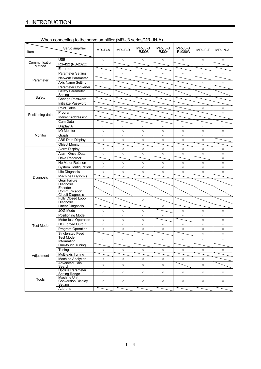| When connecting to the servo amplifier (MR-J3 series/MR-JN-A) |  |
|---------------------------------------------------------------|--|

| Item             | Servo amplifier                                             | MR-J3-A | MR-J3-B | $MR-J3-B$<br>-RJ006 | $MR-J3-B$<br>-RJ004 | $MR-J3-B$<br>-RJ080W | MR-J3-T | MR-JN-A |
|------------------|-------------------------------------------------------------|---------|---------|---------------------|---------------------|----------------------|---------|---------|
|                  | <b>USB</b>                                                  | $\circ$ | $\circ$ | $\circ$             | $\circ$             | $\circ$              | $\circ$ | $\circ$ |
| Communication    | RS-422 (RS-232C)                                            | $\circ$ |         |                     |                     |                      | $\circ$ |         |
| Method           | Ethernet                                                    |         |         |                     |                     |                      |         |         |
|                  | <b>Parameter Setting</b>                                    | $\circ$ | $\circ$ | $\circ$             | $\circ$             | $\circ$              | $\circ$ | $\circ$ |
| Parameter        | Network Parameter                                           |         |         |                     |                     |                      |         |         |
|                  | Axis Name Setting                                           | $\circ$ |         |                     |                     |                      | $\circ$ | $\circ$ |
|                  | Parameter Converter                                         |         |         |                     |                     |                      |         |         |
|                  | <b>Safety Parameter</b><br>Setting                          |         |         |                     |                     |                      |         |         |
| Safety           | Change Password                                             |         |         |                     |                     |                      |         |         |
|                  | Initialize Password                                         |         |         |                     |                     |                      |         |         |
|                  | Point Table                                                 |         |         |                     |                     |                      | $\circ$ | $\circ$ |
|                  | Program                                                     |         |         |                     |                     |                      |         | $\circ$ |
| Positioning-data | <b>Indirect Addressing</b>                                  |         |         |                     |                     |                      |         |         |
|                  | Cam Data                                                    |         |         |                     |                     |                      |         |         |
|                  | Display All                                                 | $\circ$ | $\circ$ | $\circ$             | $\circ$             | $\circ$              | $\circ$ | $\circ$ |
|                  | I/O Monitor                                                 | $\circ$ | $\circ$ | $\circ$             | $\circ$             | $\circ$              | $\circ$ | $\circ$ |
| Monitor          | Graph                                                       | $\circ$ | $\circ$ | $\circ$             | $\circ$             | $\circ$              | $\circ$ | $\circ$ |
|                  | ABS Data Display                                            | $\circ$ | $\circ$ | $\circ$             | $\circ$             | $\circ$              | $\circ$ |         |
|                  | <b>Object Monitor</b>                                       |         |         |                     |                     |                      |         |         |
|                  | Alarm Display                                               | $\circ$ | $\circ$ | $\circ$             | $\circ$             | $\circ$              | $\circ$ | $\circ$ |
|                  | Alarm Onset Data                                            | $\circ$ | $\circ$ | $\circ$             | $\circ$             | $\circ$              | $\circ$ | $\circ$ |
|                  | <b>Drive Recorder</b>                                       |         |         |                     |                     |                      |         | $\circ$ |
|                  | No Motor Rotation                                           | $\circ$ | $\circ$ | $\circ$             | $\circ$             | $\circ$              | $\circ$ | $\circ$ |
|                  | System Configuration                                        | $\circ$ | $\circ$ | $\circ$             | $\circ$             | $\circ$              | $\circ$ | $\circ$ |
|                  | <b>Life Diagnosis</b>                                       | $\circ$ | $\circ$ | $\circ$             | $\circ$             | $\circ$              | $\circ$ | $\circ$ |
|                  | <b>Machine Diagnosis</b>                                    |         |         |                     |                     |                      |         |         |
| Diagnosis        | <b>Gear Failure</b><br>Diagnosis                            |         |         |                     |                     |                      |         |         |
|                  | Encoder<br>Communication<br><b>Circuit Diagnosis</b>        |         |         |                     |                     |                      |         |         |
|                  | Fully Closed Loop<br>Diagnosis                              |         |         | $\circ$             |                     |                      |         |         |
|                  | <b>Linear Diagnosis</b>                                     |         |         |                     | $\circ$             |                      |         |         |
|                  | JOG Mode                                                    | $\circ$ | $\circ$ | $\circ$             |                     | $\circ$              | $\circ$ | $\circ$ |
|                  | <b>Positioning Mode</b>                                     | $\circ$ | $\circ$ | $\circ$             | $\circ$             | $\circ$              | $\circ$ | $\circ$ |
|                  | Motor-less Operation                                        | $\circ$ | $\circ$ | $\circ$             |                     |                      | $\circ$ | $\circ$ |
| <b>Test Mode</b> | DO Forced Output                                            | $\circ$ | $\circ$ | $\circ$             | $\circ$             | $\circ$              | $\circ$ | $\circ$ |
|                  | Program Operation                                           | $\circ$ | $\circ$ | $\circ$             | $\circ$             | $\circ$              | $\circ$ | $\circ$ |
|                  | Single-step Feed                                            |         |         |                     |                     |                      | $\circ$ | $\circ$ |
|                  | <b>Test Mode</b><br>Information                             | $\circ$ | $\circ$ | $\circ$             | $\circ$             | $\circ$              | $\circ$ | $\circ$ |
|                  | One-touch Tuning                                            |         |         |                     |                     |                      |         |         |
|                  | Tuning                                                      | $\circ$ | $\circ$ | $\circ$             | $\circ$             | $\circ$              | $\circ$ | $\circ$ |
| Adjustment       | Multi-axis Tuning                                           |         |         |                     |                     |                      |         |         |
|                  | Machine Analyzer                                            | $\circ$ | $\circ$ | $\circ$             | $\circ$             | $\circ$              | $\circ$ |         |
|                  | <b>Advanced Gain</b><br>Search                              | $\circ$ | $\circ$ | $\circ$             | $\circ$             |                      | $\circ$ |         |
|                  | <b>Update Parameter</b><br>Setting Range                    | $\circ$ | $\circ$ | $\circ$             | $\circ$             | $\circ$              | $\circ$ | $\circ$ |
| <b>Tools</b>     | <b>Machine Unit</b><br><b>Conversion Display</b><br>Setting | $\circ$ | $\circ$ | $\circ$             | $\circ$             | $\circ$              | $\circ$ | $\circ$ |
|                  | Add-ons                                                     |         |         |                     |                     |                      |         |         |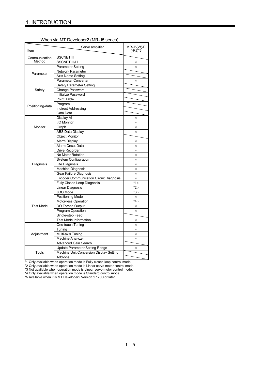| When via MT Developer2 (MR-J5 series) |
|---------------------------------------|
|---------------------------------------|

| Item             | $MR-J5(W)-B$<br>$(-RJ)*5$                      |           |
|------------------|------------------------------------------------|-----------|
| Communication    | <b>SSCNET III</b>                              |           |
| Method           | <b>SSCNET III/H</b>                            | $\circ$   |
|                  | <b>Parameter Setting</b>                       | $\circ$   |
|                  | Network Parameter                              |           |
| Parameter        | Axis Name Setting                              |           |
|                  | Parameter Converter                            | $\circ$   |
|                  | <b>Safety Parameter Setting</b>                |           |
| Safety           | Change Password                                |           |
|                  | Initialize Password                            |           |
|                  | Point Table                                    |           |
|                  | Program                                        |           |
| Positioning-data | <b>Indirect Addressing</b>                     |           |
|                  | Cam Data                                       |           |
|                  | Display All                                    | $\circ$   |
|                  | I/O Monitor                                    | $\circ$   |
| Monitor          | Graph                                          | $\circ$   |
|                  | <b>ABS Data Display</b>                        | $\circ$   |
|                  | <b>Object Monitor</b>                          |           |
| Diagnosis        | Alarm Display                                  | $\circ$   |
|                  | Alarm Onset Data                               | $\circ$   |
|                  | <b>Drive Recorder</b>                          | $\circ$   |
|                  | No Motor Rotation                              | $\circ$   |
|                  | <b>System Configuration</b>                    | $\circ$   |
|                  | Life Diagnosis                                 | $\circ$   |
|                  | Machine Diagnosis                              | $\circ$   |
|                  | Gear Failure Diagnosis                         | $\circ$   |
|                  | <b>Encoder Communication Circuit Diagnosis</b> | $\circ$   |
|                  | <b>Fully Closed Loop Diagnosis</b>             | $*1\circ$ |
|                  | Linear Diagnosis                               | *20       |
|                  | JOG Mode                                       | *3○       |
|                  | Positioning Mode                               | $\circ$   |
|                  | Motor-less Operation                           | *4⊙       |
| <b>Test Mode</b> | DO Forced Output                               | $\circ$   |
|                  | Program Operation                              | $\circ$   |
|                  | Single-step Feed                               |           |
|                  | Test Mode Information                          | $\circ$   |
|                  | One-touch Tuning                               | $\circ$   |
| Adjustment       | Tuning                                         | $\circ$   |
|                  | Multi-axis Tuning                              | $\circ$   |
|                  | Machine Analyzer                               | $\circ$   |
|                  | <b>Advanced Gain Search</b>                    |           |
|                  | <b>Update Parameter Setting Range</b>          | $\circ$   |
| Tools            | Machine Unit Conversion Display Setting        |           |
|                  | Add-ons                                        |           |

\*1 Only available when operation mode is Fully closed loop control mode.

\*2 Only available when operation mode is Linear servo motor control mode.

\*3 Not available when operation mode is Linear servo motor control mode. \*4 Only available when operation mode is Standard control mode.

\*5 Available when it is MT Developer2 Version 1.170C or later.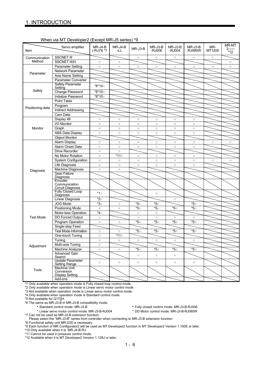|                  | exiter vid ivit. Developers (Except ivits-00 series)        |                         |                |          |                   |                   |                    |               |                           |
|------------------|-------------------------------------------------------------|-------------------------|----------------|----------|-------------------|-------------------|--------------------|---------------|---------------------------|
| Item             | Servo amplifier                                             | $MR-J4-B$<br>(-RJ)*6 *7 | MR-J4-B<br>-LL | MR-J3-B  | MR-J3-B<br>-RJ006 | MR-J3-B<br>-RJ004 | MR-J3-B<br>-RJ080W | MR-<br>MT1200 | MR-MT<br>$2$ ooo<br>$*12$ |
| Communication    | <b>SSCNET III</b>                                           |                         |                | $\circ$  | $\circ$           | $\circ$           | $\circ$            | $\circ$       |                           |
| Method           | <b>SSCNET III/H</b>                                         | $\circ$                 | $\circ$        |          |                   |                   |                    |               | $\circ$                   |
|                  | <b>Parameter Setting</b>                                    | $\circ$                 | $\circ$        | $\circ$  | $\circ$           | $\circ$           | $\circ$            | $\circ$       | $\circ$                   |
|                  | Network Parameter                                           |                         |                |          |                   |                   |                    |               |                           |
| Parameter        | Axis Name Setting                                           |                         |                |          |                   |                   |                    |               |                           |
|                  | Parameter Converter                                         |                         |                |          |                   |                   |                    |               |                           |
|                  | Safety Parameter<br>Setting                                 | *8*10o                  |                |          |                   |                   |                    |               |                           |
| Safety           | Change Password                                             | *8*10○                  |                |          |                   |                   |                    |               |                           |
|                  | Initialize Password                                         | *8*10○                  |                |          |                   |                   |                    |               |                           |
|                  | Point Table                                                 |                         |                |          |                   |                   |                    |               |                           |
|                  | Program                                                     |                         |                |          |                   |                   |                    |               |                           |
| Positioning-data | <b>Indirect Addressing</b>                                  |                         |                |          |                   |                   |                    |               |                           |
|                  | Cam Data                                                    |                         |                |          |                   |                   |                    |               |                           |
|                  | Display All                                                 | $\circ$                 | $\circ$        | $\circ$  | $\circ$           | $\circ$           | $\circ$            |               |                           |
|                  | I/O Monitor                                                 | $\circ$                 | $\circ$        | $\circ$  | $\circ$           | $\circ$           | $\circ$            |               |                           |
| Monitor          | Graph                                                       | $\circ$                 | $\circ$        | $\circ$  | $\circ$           | $\circ$           | $\circ$            |               |                           |
|                  | <b>ABS Data Display</b>                                     | $\circ$                 | $\circ$        | $\circ$  | $\circ$           | $\circ$           | $\circ$            |               |                           |
|                  | <b>Object Monitor</b>                                       |                         |                |          |                   |                   |                    |               |                           |
|                  | Alarm Display                                               | $\circ$                 | $\circ$        | $\circ$  | $\circ$           | $\circ$           | $\circ$            | $\circ$       | $\circ$                   |
|                  | Alarm Onset Data                                            | $\circ$                 | $\circ$        | $\circ$  | $\circ$           | $\circ$           | $\circ$            |               |                           |
|                  | <b>Drive Recorder</b>                                       | $\circ$                 | $\circ$        |          |                   |                   |                    |               |                           |
|                  | No Motor Rotation                                           | $\circ$                 | $*11\circ$     | $\circ$  | $\circ$           | $\circ$           | $\circ$            |               |                           |
|                  | System Configuration                                        | $\circ$                 | $\circ$        | $\circ$  | $\circ$           | $\circ$           | $\circ$            | $\circ$       | $\circ$                   |
|                  | <b>Life Diagnosis</b>                                       | $\circ$                 | $\circ$        | $\circ$  | $\circ$           | $\circ$           | $\circ$            |               |                           |
|                  | Machine Diagnosis                                           | $\circ$                 | $\circ$        |          |                   |                   |                    |               |                           |
| Diagnosis        | <b>Gear Failure</b><br>Diagnosis                            |                         |                |          |                   |                   |                    |               |                           |
|                  | Encoder<br>Communication<br><b>Circuit Diagnosis</b>        |                         |                |          |                   |                   |                    |               |                           |
|                  | Fully Closed Loop<br>Diagnosis                              | $*1\circ$               |                |          | $\circ$           |                   |                    |               |                           |
|                  | <b>Linear Diagnosis</b>                                     | $*2\circ$               |                |          |                   | $\circ$           |                    |               |                           |
|                  | JOG Mode                                                    | *3○                     | $\circ$        | $*_{50}$ | *5○               |                   | *5○                |               |                           |
|                  | <b>Positioning Mode</b>                                     | $\circ$                 | $\circ$        | *5○      | *5○               | *5○               | *5○                |               |                           |
|                  | Motor-less Operation                                        | *4⊙                     |                | $\circ$  | $\circ$           |                   |                    |               |                           |
| <b>Test Mode</b> | DO Forced Output                                            | $\circ$                 |                | $\circ$  | $\circ$           | $\circ$           | $\circ$            |               |                           |
|                  | Program Operation                                           | $\circ$                 | $\circ$        | *5○      | $*_{5\circ}$      | $*_{5\circ}$      | *5○                |               |                           |
|                  | Single-step Feed                                            |                         |                |          |                   |                   |                    |               |                           |
|                  | <b>Test Mode Information</b>                                | $\circ$                 | $\circ$        | *5○      | $*_{5\circ}$      | *5○               | *5○                |               |                           |
| Adjustment       | One-touch Tuning                                            | $\circ$                 | $*11\circ$     |          |                   |                   |                    |               |                           |
|                  | Tuning                                                      | $\circ$                 | $\circ$        | $\circ$  | $\circ$           | $\circ$           | $\circ$            |               |                           |
|                  | Multi-axis Tuning                                           | $\circ$                 |                |          |                   |                   |                    |               |                           |
|                  | Machine Analyzer                                            | $\circ$                 | $\circ$        | *5○      | *5○               | *5○               | *5○                |               |                           |
|                  | <b>Advanced Gain</b><br>Search                              |                         |                | $\circ$  | $\circ$           | $\circ$           |                    |               |                           |
|                  | <b>Update Parameter</b><br>Setting Range                    | $\circ$                 | $\circ$        | $\circ$  | $\circ$           | $\circ$           | $\circ$            |               |                           |
| Tools            | <b>Machine Unit</b><br>Conversion<br><b>Display Setting</b> |                         |                |          |                   |                   |                    |               |                           |
|                  | Add-ons                                                     |                         |                |          |                   |                   |                    |               |                           |

#### When via MT Developer2 (Except MR-J5 series) \*9

\*1 Only available when operation mode is Fully closed loop control mode.

\*2 Only available when operation mode is Linear servo motor control mode.

\*3 Not available when operation mode is Linear servo motor control mode. \*4 Only available when operation mode is Standard control mode.

\*5 Not available for Q17[]H.

\*6 The same as MR-J3-B in MR-J3-B compatibility mode.

- Linear servo motor control mode: MR-J3-B-RJ004

Fully closed control mode: MR-J3-B-RJ006<br>DD Motor control mode: MR-J3-B-RJ080W

\*7 Can not be used as MR-J3-B extension function.

Please select the "MR-J3-B" series from controller when connecting to MR-J3-B extension function. \*8 Functional safety unit MR-D30 is necessary.

\*9 Each function of MR Configurator2 will be used as MT Developer2 function in MT Developer2 Version 1.100E or later.

\*10 Only available when it is MR-J4-B-RJ.

\*11 Cannot be used in pressure control mode.

\*12 Available when it is MT Developer2 Version 1.128J or later.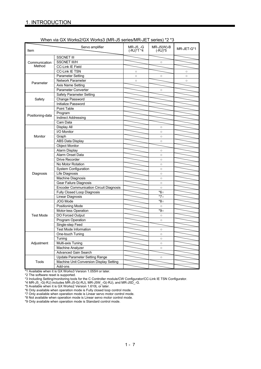| Item                    | Servo amplifier                                | MR-J5 -G<br>$(-RJ)^*T^*4$ | $MR-J5(W)-B$<br>$(-RJ)^*5$ | MR-JET-G*1 |
|-------------------------|------------------------------------------------|---------------------------|----------------------------|------------|
|                         | <b>SSCNET III</b>                              |                           |                            |            |
|                         | <b>SSCNET III/H</b>                            |                           | $\circ$                    |            |
| Communication<br>Method | <b>CC-Link IE Field</b>                        |                           |                            |            |
|                         | <b>CC-Link IE TSN</b>                          | $\circ$                   |                            | $\circ$    |
|                         | <b>Parameter Setting</b>                       | $\circ$                   | $\circ$                    | $\circ$    |
|                         | Network Parameter                              | $\circ$                   |                            | $\circ$    |
| Parameter               | Axis Name Setting                              |                           |                            |            |
| Safety                  | Parameter Converter                            |                           | $\circ$                    |            |
|                         | <b>Safety Parameter Setting</b>                |                           |                            |            |
|                         | Change Password                                |                           |                            |            |
|                         | Initialize Password                            |                           |                            |            |
|                         | <b>Point Table</b>                             |                           |                            |            |
|                         | Program                                        |                           |                            |            |
| Positioning-data        | <b>Indirect Addressing</b>                     |                           |                            |            |
|                         | Cam Data                                       |                           |                            |            |
|                         | Display All                                    |                           | $\circ$                    |            |
|                         | I/O Monitor                                    |                           | $\circ$                    |            |
| Monitor                 | Graph                                          |                           | $\circ$                    |            |
|                         | <b>ABS Data Display</b>                        |                           | $\circ$                    |            |
|                         | <b>Object Monitor</b>                          |                           |                            |            |
|                         | Alarm Display                                  |                           | $\circ$                    |            |
|                         | Alarm Onset Data                               |                           | $\circ$                    |            |
|                         | <b>Drive Recorder</b>                          |                           | $\circ$                    |            |
|                         | No Motor Rotation                              |                           | $\circ$                    |            |
|                         | <b>System Configuration</b>                    |                           | $\circ$                    |            |
| Diagnosis               | Life Diagnosis                                 |                           | $\circ$                    |            |
|                         | Machine Diagnosis                              |                           | $\circ$                    |            |
|                         | Gear Failure Diagnosis                         |                           | $\circ$                    |            |
|                         | <b>Encoder Communication Circuit Diagnosis</b> |                           | $\circ$                    |            |
|                         | Fully Closed Loop Diagnosis                    |                           | *6○                        |            |
|                         | Linear Diagnosis                               |                           | *7○                        |            |
|                         | <b>JOG Mode</b>                                |                           | *8○                        |            |
|                         | Positioning Mode                               |                           | $\circ$                    |            |
|                         | Motor-less Operation                           |                           | *9⊙                        |            |
| <b>Test Mode</b>        | DO Forced Output                               |                           | $\circ$                    |            |
|                         | Program Operation                              |                           | $\circ$                    |            |
|                         | Single-step Feed                               |                           |                            |            |
|                         | <b>Test Mode Information</b>                   |                           | $\circ$                    |            |
|                         | One-touch Tuning                               |                           | $\circ$                    |            |
|                         | Tuning                                         |                           | $\circ$                    |            |
|                         | Multi-axis Tuning                              |                           |                            |            |
| Adjustment              | Machine Analyzer                               |                           | $\circ$<br>$\circ$         |            |
|                         | <b>Advanced Gain Search</b>                    |                           |                            |            |
|                         |                                                |                           |                            |            |
| Tools                   | Update Parameter Setting Range                 |                           | $\circ$                    |            |
|                         | Machine Unit Conversion Display Setting        |                           |                            |            |
|                         | Add-ons                                        |                           |                            |            |

\*1 Available when it is GX Works3 Version 1.055H or later.

\*2 The software reset is supported.

\*3 Including Setting/monitoring tools for the C Controller module/CW Configurator/CC-Link IE TSN Configurator.

\*4 MR-J5\_-G(-RJ) includes MR-J5-G(-RJ), MR-J5W\_-G(-RJ), and MR-J5D\_-G.

\*5 Available when it is GX Works2 Version 1.610L or later.

\*6 Only available when operation mode is Fully closed loop control mode.

\*7 Only available when operation mode is Linear servo motor control mode.

\*8 Not available when operation mode is Linear servo motor control mode.

\*9 Only available when operation mode is Standard control mode.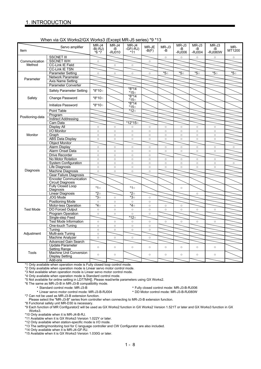#### When via GX Works2/GX Works3 (Except MR-J5 series) \*9 \*13

|                  | $\frac{1}{2}$                                 |                            |                       |                          | ັ                | . .         |                       |                       |                        |               |
|------------------|-----------------------------------------------|----------------------------|-----------------------|--------------------------|------------------|-------------|-----------------------|-----------------------|------------------------|---------------|
| Item             | Servo amplifier                               | MR-J4<br>$-B(-RJ)$<br>*6*7 | MR-J4<br>-В<br>-RJ010 | MR-J4<br>-GF(-RJ)<br>*11 | MR-JE<br>$-B(F)$ | MR-J3<br>-B | MR-J3<br>-B<br>-RJ006 | MR-J3<br>-B<br>-RJ004 | MR-J3<br>-B<br>-RJ080W | MR-<br>MT1200 |
|                  | <b>SSCNET III</b>                             |                            |                       |                          |                  | $\circ$     | $\circ$               | $\circ$               | $\circ$                | $\circ$       |
| Communication    | <b>SSCNET III/H</b>                           | $\circ$                    |                       |                          | $\circ$          |             |                       |                       |                        |               |
| Method           | <b>CC-Link IE Field</b>                       |                            | $\circ$               | $\circ$                  |                  |             |                       |                       |                        |               |
|                  | <b>CC-Link IE TSN</b>                         |                            |                       |                          |                  |             |                       |                       |                        |               |
|                  | <b>Parameter Setting</b>                      |                            |                       |                          |                  | *5○         | *5○                   | *5○                   | *5○                    | *5○           |
|                  |                                               | $\circ$                    | $\circ$               | $\circ$                  | $\circ$          |             |                       |                       |                        |               |
| Parameter        | Network Parameter                             |                            |                       |                          |                  |             |                       |                       |                        |               |
|                  | Axis Name Setting                             |                            |                       |                          |                  |             |                       |                       |                        |               |
|                  | Parameter Converter                           |                            |                       |                          |                  |             |                       |                       |                        |               |
|                  | Safety Parameter Setting                      | *8*10○                     |                       | $*8*14$<br>*15○          |                  |             |                       |                       |                        |               |
| Safety           | <b>Change Password</b>                        | *8*10○                     |                       | $*8*14$<br>*15○          |                  |             |                       |                       |                        |               |
|                  | Initialize Password                           | *8*10○                     |                       | $*8*14$<br>*15○          |                  |             |                       |                       |                        |               |
|                  | Point Table                                   |                            |                       | *12○                     |                  |             |                       |                       |                        |               |
| Positioning-data | Program                                       |                            |                       |                          |                  |             |                       |                       |                        |               |
|                  | <b>Indirect Addressing</b>                    |                            |                       |                          |                  |             |                       |                       |                        |               |
|                  | Cam Data                                      |                            |                       | $*12*15$                 |                  |             |                       |                       |                        |               |
|                  | <b>Display All</b>                            | $\circ$                    | $\circ$               | $\circ$                  | $\circ$          | $\circ$     | $\circ$               | $\circ$               | $\circ$                |               |
|                  | I/O Monitor                                   | $\circ$                    | $\circ$               | $\circ$                  | $\circ$          | $\circ$     | $\circ$               | $\circ$               | $\circ$                |               |
| Monitor          | Graph                                         | $\circ$                    | $\circ$               | $\circ$                  | $\circ$          | $\circ$     | $\circ$               | $\circ$               | $\circ$                |               |
|                  | <b>ABS Data Display</b>                       | $\circ$                    | $\circ$               | $\circ$                  | $\circ$          | $\circ$     | $\circ$               | $\circ$               | $\circ$                |               |
|                  | <b>Object Monitor</b>                         |                            |                       |                          |                  |             |                       |                       |                        |               |
|                  | <b>Alarm Display</b>                          | $\circ$                    | $\circ$               | $\circ$                  | $\circ$          | $\circ$     | $\circ$               | $\circ$               | $\circ$                | $\circ$       |
|                  | Alarm Onset Data                              | $\circ$                    | $\circ$               | $\circ$                  | $\circ$          | $\circ$     | $\circ$               | $\circ$               | $\circ$                |               |
|                  | Drive Recorder                                | $\circ$                    | $\circ$               | $\circ$                  | $\circ$          |             |                       |                       |                        |               |
|                  | No Motor Rotation                             | $\circ$                    | $\circ$               | $\circ$                  | $\circ$          | $\circ$     | $\circ$               | $\circ$               | $\circ$                |               |
|                  | <b>System Configuration</b>                   | $\circ$                    | $\circ$               | $\circ$                  | $\circ$          | $\circ$     | $\circ$               | $\circ$               | $\circ$                | $\circ$       |
|                  | Life Diagnosis                                | $\circ$                    |                       |                          |                  |             |                       |                       |                        |               |
| Diagnosis        |                                               |                            | $\circ$               | $\circ$                  | $\circ$          | $\circ$     | $\circ$               | $\circ$               | $\circ$                |               |
|                  | Machine Diagnosis                             | $\circ$                    | $\circ$               | $\circ$                  | $\circ$          |             |                       |                       |                        |               |
|                  | Gear Failure Diagnosis                        |                            |                       |                          |                  |             |                       |                       |                        |               |
|                  | <b>Encoder Communication</b>                  |                            |                       |                          |                  |             |                       |                       |                        |               |
|                  | Circuit Diagnosis<br><b>Fully Closed Loop</b> |                            |                       |                          |                  |             |                       |                       |                        |               |
|                  | Diagnosis                                     | $*1\circ$                  |                       | $*1\circ$                |                  |             | $\circ$               |                       |                        |               |
|                  | Linear Diagnosis                              | $^*2^\circ$                |                       | *2○                      |                  |             |                       | $\circ$               |                        |               |
|                  | <b>JOG Mode</b>                               | *3○                        | $\circ$               | *3○                      | $\circ$          |             |                       |                       |                        |               |
|                  | <b>Positioning Mode</b>                       | $\circ$                    | $\circ$               | $\circ$                  | $\circ$          |             |                       |                       |                        |               |
|                  | Motor-less Operation                          | *4⊙                        | $\circ$               | *4○                      | $\circ$          | $\circ$     | $\circ$               |                       |                        |               |
| <b>Test Mode</b> | <b>DO Forced Output</b>                       | $\circ$                    | $\circ$               | $\circ$                  | $\circ$          | $\circ$     | $\circ$               | $\circ$               | $\circ$                |               |
|                  | <b>Program Operation</b>                      | $\circ$                    | $\circ$               | $\circ$                  | $\circ$          |             |                       |                       |                        |               |
|                  | Single-step Feed                              |                            |                       | *12○                     |                  |             |                       |                       |                        |               |
|                  | <b>Test Mode Information</b>                  | $\circ$                    | $\circ$               | $\circ$                  | $\circ$          | $\circ$     | $\circ$               | $\circ$               | $\circ$                |               |
| Adjustment       | One-touch Tuning                              | $\circ$                    | $\circ$               | $\circ$                  | $\circ$          |             |                       |                       |                        |               |
|                  | Tuning                                        | $\circ$                    | $\circ$               | $\circ$                  | $\circ$          |             |                       |                       |                        |               |
|                  | Multi-axis Tuning                             | $\circ$                    |                       |                          |                  |             |                       |                       |                        |               |
|                  | Machine Analyzer                              | $\circ$                    | $\circ$               | $\circ$                  | $\circ$          |             |                       |                       |                        |               |
|                  | <b>Advanced Gain Search</b>                   |                            |                       |                          |                  |             |                       |                       |                        |               |
|                  | <b>Update Parameter</b><br>Setting Range      | $\circ$                    | $\circ$               | $\circ$                  | $\circ$          | $\circ$     | $\circ$               | $\circ$               | $\circ$                |               |
| Tools            | Machine Unit Conversion<br>Display Setting    | $\circ$                    | $\circ$               |                          | $\circ$          | $\circ$     | $\circ$               | $\circ$               | $\circ$                |               |
|                  | Add-ons                                       |                            |                       |                          |                  |             |                       |                       |                        |               |

\*1 Only available when operation mode is Fully closed loop control mode.

\*2 Only available when operation mode is Linear servo motor control mode.

\*3 Not available when operation mode is Linear servo motor control mode.

\*4 Only available when operation mode is Standard control mode.

\*5 Not available for online setting in LD77MH[]. Please read/write parameters using GX Works2.

\*6 The same as MR-J3-B in MR-J3-B compatibility mode.

 Standard control mode: MR-J3-B Fully closed control mode: MR-J3-B-RJ006 - Linear servo motor control mode: MR-J3-B-RJ004

\*7 Can not be used as MR-J3-B extension function.

Please select the "MR-J3-B" series from controller when connecting to MR-J3-B extension function.

\*8 Functional safety unit MR-D30 is necessary.

\*9 Each function of MR Configurator2 will be used as GX Works2 function in GX Works2 Version 1.521T or later and GX Works3 function in GX Works3.

\*10 Only available when it is MR-J4-B-RJ.

\*11 Available when it is GX Works3 Version 1.022Y or later.

\*12 Only available when station-specific mode is I/O mode.

\*13 The setting/monitoring tool for C language controller and CW Configurator are also included.

\*14 Only available when it is MR-J4-GF-RJ.

\*15 Available when it is GX Works3 Version 1.030G or later.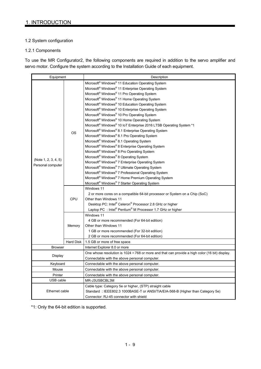### 1.2 System configuration

#### 1.2.1 Components

To use the MR Configurator2, the following components are required in addition to the servo amplifier and servo motor. Configure the system according to the Installation Guide of each equipment.

| Equipment            |            | Description                                                                                           |
|----------------------|------------|-------------------------------------------------------------------------------------------------------|
|                      |            | Microsoft <sup>®</sup> Windows <sup>®</sup> 11 Education Operating System                             |
|                      |            | Microsoft <sup>®</sup> Windows <sup>®</sup> 11 Enterprise Operating System                            |
|                      |            | Microsoft <sup>®</sup> Windows <sup>®</sup> 11 Pro Operating System                                   |
|                      |            | Microsoft <sup>®</sup> Windows <sup>®</sup> 11 Home Operating System                                  |
|                      |            | Microsoft <sup>®</sup> Windows <sup>®</sup> 10 Education Operating System                             |
|                      |            | Microsoft <sup>®</sup> Windows <sup>®</sup> 10 Enterprise Operating System                            |
|                      |            | Microsoft <sup>®</sup> Windows <sup>®</sup> 10 Pro Operating System                                   |
|                      |            | Microsoft® Windows® 10 Home Operating System                                                          |
|                      |            | Microsoft® Windows® 10 IoT Enterprise 2016 LTSB Operating System *1                                   |
|                      | <b>OS</b>  | Microsoft® Windows® 8.1 Enterprise Operating System                                                   |
|                      |            | Microsoft® Windows® 8.1 Pro Operating System                                                          |
|                      |            | Microsoft <sup>®</sup> Windows <sup>®</sup> 8.1 Operating System                                      |
|                      |            | Microsoft® Windows® 8 Enterprise Operating System                                                     |
|                      |            | Microsoft <sup>®</sup> Windows <sup>®</sup> 8 Pro Operating System                                    |
|                      |            | Microsoft® Windows® 8 Operating System                                                                |
| (Note 1, 2, 3, 4, 5) |            | Microsoft® Windows® 7 Enterprise Operating System                                                     |
| Personal computer    |            | Microsoft® Windows® 7 Ultimate Operating System                                                       |
|                      |            | Microsoft® Windows® 7 Professional Operating System                                                   |
|                      |            | Microsoft <sup>®</sup> Windows <sup>®</sup> 7 Home Premium Operating System                           |
|                      |            | Microsoft® Windows® 7 Starter Operating System                                                        |
|                      |            | Windows 11                                                                                            |
|                      |            | 2 or more cores on a compatible 64-bit processor or System on a Chip (SoC)                            |
|                      | <b>CPU</b> | Other than Windows 11                                                                                 |
|                      |            | Desktop PC: Intel® Celeron® Processor 2.8 GHz or higher                                               |
|                      |            | Laptop PC : Intel® Pentium® M Processor 1.7 GHz or higher                                             |
|                      |            | Windows 11                                                                                            |
|                      |            | 4 GB or more recommended (For 64-bit edition)                                                         |
|                      | Memory     | Other than Windows 11                                                                                 |
|                      |            | 1 GB or more recommended (For 32-bit edition)                                                         |
|                      |            | 2 GB or more recommended (For 64-bit edition)                                                         |
|                      | Hard Disk  | 1.5 GB or more of free space                                                                          |
| <b>Browser</b>       |            | Internet Explorer 8.0 or more                                                                         |
| Display              |            | One whose resolution is $1024 \times 768$ or more and that can provide a high color (16 bit) display. |
|                      |            | Connectable with the above personal computer.                                                         |
| Keyboard             |            | Connectable with the above personal computer.                                                         |
| Mouse                |            | Connectable with the above personal computer.                                                         |
| Printer              |            | Connectable with the above personal computer.                                                         |
| USB cable            |            | MR-J3USBCBL3M                                                                                         |
|                      |            | Cable type: Category 5e or higher, (STP) straight cable                                               |
| Ethernet cable       |            | Standard: IEEE802.3 1000BASE-T or ANSI/TIA/EIA-568-B (Higher than Category 5e)                        |
|                      |            | Connector: RJ-45 connector with shield                                                                |

\*1: Only the 64-bit edition is supported.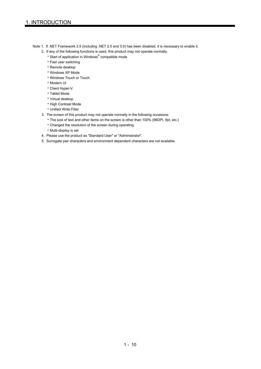- Note 1. If .NET Framework 3.5 (including .NET 2.0 and 3.0) has been disabled, it is necessary to enable it.
	- 2. If any of the following functions is used, this product may not operate normally.
		- Start of application in Windows® compatible mode
		- Fast user switching
		- Remote desktop
		- Windows XP Mode
		- Windows Touch or Touch
		- Modern UI
		- Client Hyper-V
		- Tablet Mode
		- Virtual desktop
		- **High Contrast Mode**
		- Unified Write Filter
	- 3. The screen of this product may not operate normally in the following occasions:
		- The size of text and other items on the screen is other than 100% (96DPI, 9pt, etc.)
		- Changed the resolution of the screen during operating
		- Multi-display is set
	- 4. Please use the product as "Standard User" or "Administrator".
	- 5. Surrogate pair characters and environment dependent characters are not available.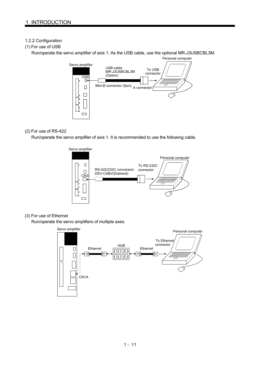## 1.2.2 Configuration

## (1) For use of USB

Run/operate the servo amplifier of axis 1. As the USB cable, use the optional MR-J3USBCBL3M.



### (2) For use of RS-422

Run/operate the servo amplifier of axis 1. It is recommended to use the following cable.



### (3) For use of Ethernet

Run/operate the servo amplifiers of multiple axes.

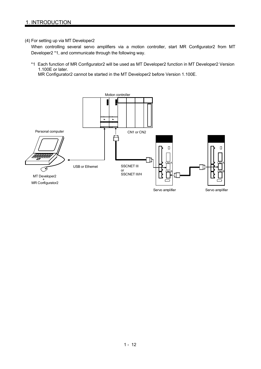#### (4) For setting up via MT Developer2

When controlling several servo amplifiers via a motion controller, start MR Configurator2 from MT Developer2 \*1, and communicate through the following way.

\*1 Each function of MR Configurator2 will be used as MT Developer2 function in MT Developer2 Version 1.100E or later.

MR Configurator2 cannot be started in the MT Developer2 before Version 1.100E.

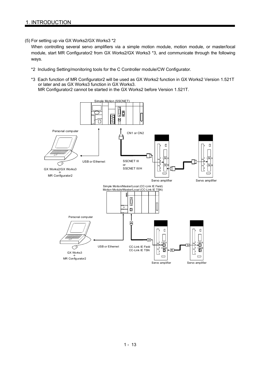(5) For setting up via GX Works2/GX Works3 \*2

When controlling several servo amplifiers via a simple motion module, motion module, or master/local module, start MR Configurator2 from GX Works2/GX Works3 \*3, and communicate through the following ways.

- \*2 Including Setting/monitoring tools for the C Controller module/CW Configurator.
- \*3 Each function of MR Configurator2 will be used as GX Works2 function in GX Works2 Version 1.521T or later and as GX Works3 function in GX Works3. MR Configurator2 cannot be started in the GX Works2 before Version 1.521T.

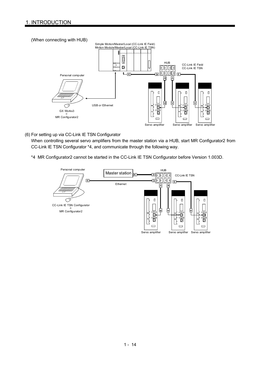#### (When connecting with HUB)



(6) For setting up via CC-Link IE TSN Configurator

When controlling several servo amplifiers from the master station via a HUB, start MR Configurator2 from CC-Link IE TSN Configurator \*4, and communicate through the following way.

\*4 MR Configurator2 cannot be started in the CC-Link IE TSN Configurator before Version 1.003D.

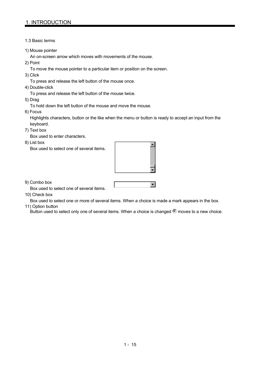#### 1.3 Basic terms

1) Mouse pointer

An on-screen arrow which moves with movements of the mouse.

- 2) Point
	- To move the mouse pointer to a particular item or position on the screen.
- 3) Click

To press and release the left button of the mouse once.

4) Double-click

To press and release the left button of the mouse twice.

5) Drag

To hold down the left button of the mouse and move the mouse.

6) Focus

Highlights characters, button or the like when the menu or button is ready to accept an input from the keyboard.

7) Text box

Box used to enter characters.

8) List box

Box used to select one of several items.



 $\blacksquare$ 

9) Combo box

Box used to select one of several items.

10) Check box

Box used to select one or more of several items. When a choice is made a mark appears in the box.

11) Option button

Button used to select only one of several items. When a choice is changed  $\bullet$  moves to a new choice.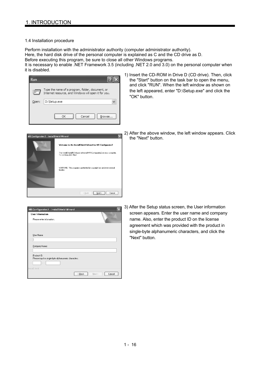#### 1.4 Installation procedure

Perform installation with the administrator authority (computer administrator authority). Here, the hard disk drive of the personal computer is explained as C and the CD drive as D. Before executing this program, be sure to close all other Windows programs.

It is necessary to enable .NET Framework 3.5 (including .NET 2.0 and 3.0) on the personal computer when it is disabled.



1) Insert the CD-ROM in Drive D (CD drive). Then, click the "Start" button on the task bar to open the menu, and click "RUN". When the left window as shown on the left appeared, enter "D:\Setup.exe" and click the "OK" button.



2) After the above window, the left window appears. Click the "Next" button

| <b>User Information</b>                                             |  |  |  |
|---------------------------------------------------------------------|--|--|--|
| Please enter information.                                           |  |  |  |
|                                                                     |  |  |  |
| User Name:                                                          |  |  |  |
|                                                                     |  |  |  |
| Company Name:                                                       |  |  |  |
|                                                                     |  |  |  |
| Product ID:<br>Please input in single-byte alphanumeric characters. |  |  |  |
| ٠                                                                   |  |  |  |
|                                                                     |  |  |  |

3) After the Setup status screen, the User information screen appears. Enter the user name and company name. Also, enter the product ID on the license agreement which was provided with the product in single-byte alphanumeric characters, and click the "Next" button.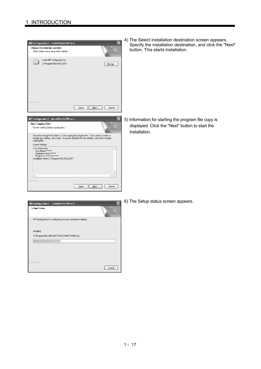

4) The Select installation destination screen appears. Specify the installation destination, and click the "Next" button. This starts installation.

5) Information for starting the program file copy is displayed. Click the "Next" button to start the installation.

| MR Configurator 2 - InstallShield Wizard                        |        |
|-----------------------------------------------------------------|--------|
| <b>Setup Status</b>                                             |        |
| MR Configurator2 is configuring your new software installation. |        |
| Installing                                                      |        |
| C:\Program Files\MELSOFT\MRC2\MFC71CHS.DLL                      |        |
| ,,,,,,,,,,,                                                     |        |
|                                                                 |        |
|                                                                 |        |
|                                                                 |        |
| InstallShield                                                   |        |
|                                                                 | Cancel |

6) The Setup status screen appears.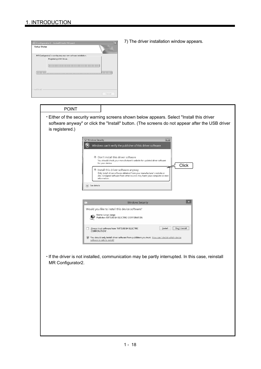

7) The driver installation window appears.

#### POINT

Either of the security warning screens shown below appears. Select "Install this driver software anyway" or click the "Install" button. (The screens do not appear after the USB driver is registered.)



If the driver is not installed, communication may be partly interrupted. In this case, reinstall MR Configurator2.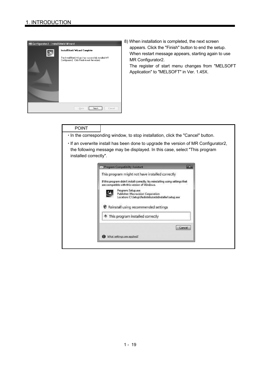

8) When installation is completed, the next screen appears. Click the "Finish" button to end the setup. When restart message appears, starting again to use The register of start menu changes from "MELSOFT

## POINT

- $\cdot$  In the corresponding window, to stop installation, click the "Cancel" button.
- If an overwrite install has been done to upgrade the version of MR Configurator2, the following message may be displayed. In this case, select "This program installed correctly".

| This program might not have installed correctly                                                                                |
|--------------------------------------------------------------------------------------------------------------------------------|
| If this program didn't install correctly, try reinstalling using settings that<br>are compatible with this version of Windows. |
| Program: Setup.exe<br><b>Publisher: Macrovision Corporation</b><br>Location: C:\Setup\RedistributableInstaller\setup.exe       |
| Reinstall using recommended settings                                                                                           |
| This program installed correctly                                                                                               |
| Cancel                                                                                                                         |
| What settings are applied?                                                                                                     |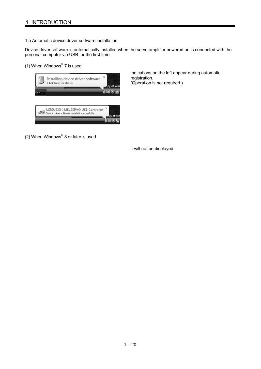#### 1.5 Automatic device driver software installation

Device driver software is automatically installed when the servo amplifier powered on is connected with the personal computer via USB for the first time.

#### (1) When Windows® 7 is used



Indications on the left appear during automatic registration. (Operation is not required.)

(2) When Windows $^{\circledR}$  8 or later is used

It will not be displayed.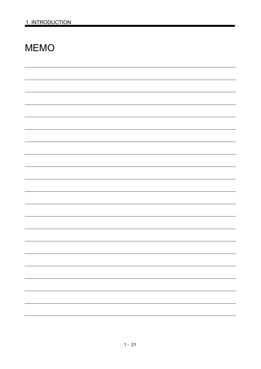## MEMO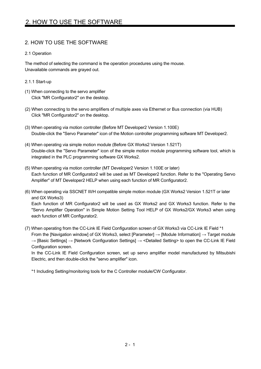## 2. HOW TO USE THE SOFTWARE

## 2.1 Operation

The method of selecting the command is the operation procedures using the mouse. Unavailable commands are grayed out.

## 2.1.1 Start-up

- (1) When connecting to the servo amplifier Click "MR Configurator2" on the desktop.
- (2) When connecting to the servo amplifiers of multiple axes via Ethernet or Bus connection (via HUB) Click "MR Configurator2" on the desktop.
- (3) When operating via motion controller (Before MT Developer2 Version 1.100E) Double-click the "Servo Parameter" icon of the Motion controller programming software MT Developer2.
- (4) When operating via simple motion module (Before GX Works2 Version 1.521T) Double-click the "Servo Parameter" icon of the simple motion module programming software tool, which is integrated in the PLC programming software GX Works2.
- (5) When operating via motion controller (MT Developer2 Version 1.100E or later) Each function of MR Configurator2 will be used as MT Developer2 function. Refer to the "Operating Servo Amplifier" of MT Developer2 HELP when using each function of MR Configurator2.
- (6) When operating via SSCNET III/H compatible simple motion module (GX Works2 Version 1.521T or later and GX Works3) Each function of MR Configurator2 will be used as GX Works2 and GX Works3 function. Refer to the "Servo Amplifier Operation" in Simple Motion Setting Tool HELP of GX Works2/GX Works3 when using each function of MR Configurator2.
- (7) When operating from the CC-Link IE Field Configuration screen of GX Works3 via CC-Link IE Field \*1 From the [Navigation window] of GX Works3, select [Parameter]  $\rightarrow$  [Module Information]  $\rightarrow$  Target module → [Basic Settings] → [Network Configuration Settings] → <Detailed Setting> to open the CC-Link IE Field Configuration screen.

In the CC-Link IE Field Configuration screen, set up servo amplifier model manufactured by Mitsubishi Electric, and then double-click the "servo amplifier" icon.

\*1 Including Setting/monitoring tools for the C Controller module/CW Configurator.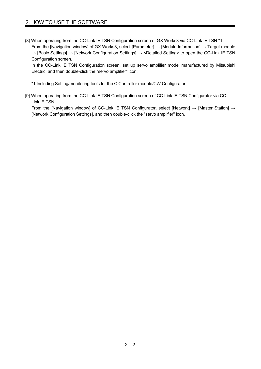## 2. HOW TO USE THE SOFTWARE

(8) When operating from the CC-Link IE TSN Configuration screen of GX Works3 via CC-Link IE TSN \*1 From the [Navigation window] of GX Works3, select [Parameter]  $\rightarrow$  [Module Information]  $\rightarrow$  Target module → [Basic Settings] → [Network Configuration Settings] → <Detailed Setting> to open the CC-Link IE TSN Configuration screen.

In the CC-Link IE TSN Configuration screen, set up servo amplifier model manufactured by Mitsubishi Electric, and then double-click the "servo amplifier" icon.

\*1 Including Setting/monitoring tools for the C Controller module/CW Configurator.

(9) When operating from the CC-Link IE TSN Configuration screen of CC-Link IE TSN Configurator via CC-Link IE TSN

From the [Navigation window] of CC-Link IE TSN Configurator, select [Network] → [Master Station] → [Network Configuration Settings], and then double-click the "servo amplifier" icon.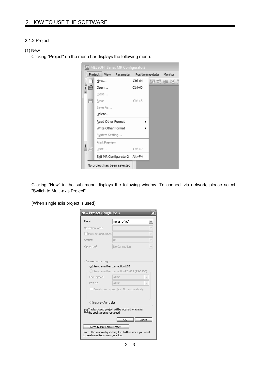#### 2.1.2 Project

#### (1) New

Clicking "Project" on the menu bar displays the following menu.

|   |   |       |                    | MELSOFT Series MR Configurator2                 |            |  |      |
|---|---|-------|--------------------|-------------------------------------------------|------------|--|------|
|   |   |       |                    | Project View Parameter Positioning-data Monitor |            |  |      |
| i |   | New   |                    |                                                 | Ctrl+N     |  | 腰轉鈿斑 |
|   |   |       | Open               |                                                 | Ctrl+O     |  |      |
|   |   |       | Close              |                                                 |            |  |      |
|   | P | Save  |                    |                                                 | $CtrI + S$ |  |      |
|   |   |       | Save As            |                                                 |            |  |      |
|   |   |       | Delete             |                                                 |            |  |      |
|   |   |       | Read Other Format  |                                                 |            |  |      |
|   |   |       | Write Other Format |                                                 |            |  |      |
|   |   |       | System Setting     |                                                 |            |  |      |
|   |   |       | Print Preview      |                                                 |            |  |      |
|   |   | Print |                    |                                                 | Ctrl+P     |  |      |
|   |   |       |                    | Exit MR Configurator2 Alt+F4                    |            |  |      |
|   |   |       |                    | No project has been selected                    |            |  |      |

Clicking "New" in the sub menu displays the following window. To connect via network, please select "Switch to Multi-axis Project".

(When single axis project is used)

| New Project (Single Axis)                            |                                                         |
|------------------------------------------------------|---------------------------------------------------------|
| Model                                                | MR-J5-G(-RJ)                                            |
| Operation mode                                       |                                                         |
| Multi-ax, unification                                |                                                         |
| Shahinn                                              | 00                                                      |
| Option unit                                          | No Connection                                           |
| Com, speed                                           | ◯ Servo amplifier connection RS-422 (RS-232C)<br>AUTO   |
| Connection setting<br>Servo amplifier connection USB |                                                         |
|                                                      |                                                         |
| Port No.                                             | <b>ALITO</b>                                            |
|                                                      | Search com. speed/port No. automatically                |
| Network/controller                                   |                                                         |
| the application is restarted                         | The last-used project will be opened whenever           |
|                                                      | Cancel<br>ОК                                            |
| Switch to Multi-axis Project                         |                                                         |
| to create multi-axis configuration.                  | Switch the window by clicking this button when you want |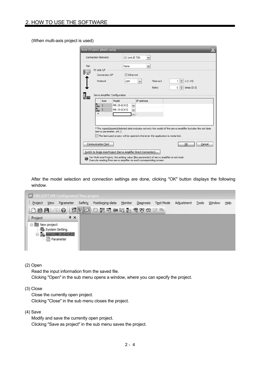(When multi-axis project is used)

|      |                     | New Project (Multi-axis) |                               |            |                                                                                                                                                                  |              |          |  |                     |        |  |
|------|---------------------|--------------------------|-------------------------------|------------|------------------------------------------------------------------------------------------------------------------------------------------------------------------|--------------|----------|--|---------------------|--------|--|
|      | Connection Network: |                          |                               |            | CC-Link IE TSN                                                                                                                                                   | $\checkmark$ |          |  |                     |        |  |
| Via: | PC side I/F         |                          |                               | None       |                                                                                                                                                                  | $\checkmark$ |          |  |                     |        |  |
|      |                     | Connection I/F           |                               | ⊙ Ethernet |                                                                                                                                                                  |              |          |  |                     |        |  |
|      |                     | Protocol                 |                               | <b>UDP</b> | v                                                                                                                                                                |              | Time-out |  | $1 \oplus s(1-15)$  |        |  |
|      |                     |                          |                               |            |                                                                                                                                                                  |              | Retry    |  | 이剣<br>times $(0-3)$ |        |  |
|      |                     |                          | Servo Amplifier Configuration |            |                                                                                                                                                                  |              |          |  |                     |        |  |
|      |                     | Axis                     | Model                         |            | IP address                                                                                                                                                       |              |          |  |                     |        |  |
|      | ll.                 | $\overline{1}$           | MR-J5-G(-RJ)                  |            | $\sim$                                                                                                                                                           |              |          |  |                     |        |  |
|      | $\mathbb{I}_{m}$ 2  |                          | MR-J5-G(-RJ)                  |            | v                                                                                                                                                                |              |          |  |                     |        |  |
|      | $\pmb{\times}$      |                          |                               |            | v                                                                                                                                                                |              |          |  |                     |        |  |
|      |                     |                          |                               |            |                                                                                                                                                                  |              |          |  |                     |        |  |
|      |                     |                          |                               |            |                                                                                                                                                                  |              |          |  |                     |        |  |
|      |                     | (servo parameter, etc.). |                               |            | * The copied/pasted/deleted data includes not only the model of the servo amplifier but also the set data                                                        |              |          |  |                     |        |  |
|      |                     |                          |                               |            | $\vee$ The last-used project will be opened whenever the application is restarted.                                                                               |              |          |  |                     |        |  |
|      | Communication Test  |                          |                               |            |                                                                                                                                                                  |              |          |  | ОК                  | Cancel |  |
|      |                     |                          |                               |            | Switch to Single Axis Project (Servo Amplifier Direct Connection)                                                                                                |              |          |  |                     |        |  |
|      |                     |                          |                               |            | For Multi-axis Project, the setting value (like parameter) of servo amplifier is not read.<br>Execute reading from servo amplifier on each corresponding screen. |              |          |  |                     |        |  |

After the model selection and connection settings are done, clicking "OK" button displays the following window.

| T MELSOFT MR Configurator2 New project |                                                  |           |            |        |                  |         |           |           |            |       |        |      |
|----------------------------------------|--------------------------------------------------|-----------|------------|--------|------------------|---------|-----------|-----------|------------|-------|--------|------|
| Project                                | View                                             | Parameter |            | Safety | Positioning-data | Monitor | Diagnosis | Test Mode | Adjustment | Tools | Window | Help |
|                                        |                                                  |           |            |        |                  |         |           |           |            |       |        |      |
| Project                                |                                                  |           | $4 \times$ |        |                  |         |           |           |            |       |        |      |
| □ New project                          |                                                  |           |            |        |                  |         |           |           |            |       |        |      |
| Ė                                      | -- 卷 System Setting<br>$M_0$ Axis 1:MR-J5-G(-RJ) |           |            |        |                  |         |           |           |            |       |        |      |
|                                        | $\Box$ Parameter                                 |           |            |        |                  |         |           |           |            |       |        |      |
|                                        |                                                  |           |            |        |                  |         |           |           |            |       |        |      |

(2) Open

Read the input information from the saved file. Clicking "Open" in the sub menu opens a window, where you can specify the project.

(3) Close

Close the currently open project. Clicking "Close" in the sub menu closes the project.

(4) Save

Modify and save the currently open project. Clicking "Save as project" in the sub menu saves the project.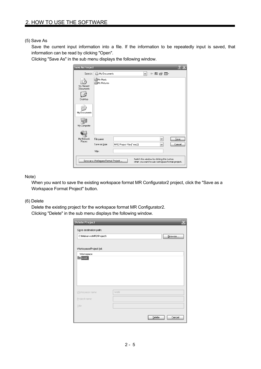#### (5) Save As

Save the current input information into a file. If the information to be repeatedly input is saved, that information can be read by clicking "Open".

Clicking "Save As" in the sub menu displays the following window.

| <b>Save As Project</b>                                                                                                            |                                         |                           |  |   |  |                   |                |  |
|-----------------------------------------------------------------------------------------------------------------------------------|-----------------------------------------|---------------------------|--|---|--|-------------------|----------------|--|
| Save in:                                                                                                                          | My Documents                            |                           |  | v |  | ←自び困・             |                |  |
| My Recent<br>Documents<br>Desktop                                                                                                 | <b>My Music</b><br><b>凸</b> My Pictures |                           |  |   |  |                   |                |  |
| My Documents<br>My Computer                                                                                                       |                                         |                           |  |   |  |                   |                |  |
| My Network<br>Places                                                                                                              | File name:<br>Save as type:             | MR2 Project Files(".mrc2) |  |   |  | v<br>$\checkmark$ | Save<br>Cancel |  |
|                                                                                                                                   | Title:                                  |                           |  |   |  |                   |                |  |
| Switch the window by clicking this button<br>Save as a Workspace Format Project<br>when you want to use workspace format project. |                                         |                           |  |   |  |                   |                |  |

Note)

When you want to save the existing workspace format MR Configurator2 project, click the "Save as a Workspace Format Project" button.

#### (6) Delete

Delete the existing project for the workspace format MR Configurator2. Clicking "Delete" in the sub menu displays the following window.

| Save destination path:   |      |        |
|--------------------------|------|--------|
| C:WelservoWR2\Project\   |      | Browse |
|                          |      |        |
| Workspace/Project list:  |      |        |
| Workspace<br><b>Mork</b> |      |        |
|                          |      |        |
|                          |      |        |
|                          |      |        |
|                          |      |        |
|                          |      |        |
|                          |      |        |
| Workspace name:          | work |        |
| Project name:            |      |        |
| Title:                   |      |        |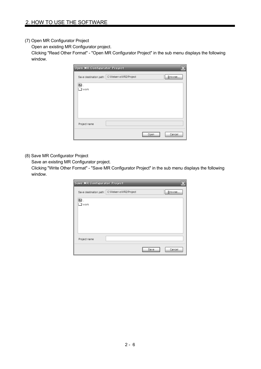#### (7) Open MR Configurator Project

Open an existing MR Configurator project.

Clicking "Read Other Format" - "Open MR Configurator Project" in the sub menu displays the following window.

| <b>Open MR Configurator Project</b> |                         |      |        |
|-------------------------------------|-------------------------|------|--------|
| Save destination path:              | C:\Melservo\MR2\Project |      | Browse |
| 图.<br>∃work                         |                         |      |        |
| Project name                        |                         |      |        |
|                                     |                         | Open | Cancel |

## (8) Save MR Configurator Project

Save an existing MR Configurator project.

Clicking "Write Other Format" - "Save MR Configurator Project" in the sub menu displays the following window.

| <b>Save MR Configurator Project</b>            |        |
|------------------------------------------------|--------|
| Save destination path: C:\Melservo\MR2\Project | Browse |
|                                                |        |
|                                                |        |
|                                                |        |
|                                                |        |
|                                                |        |
| Save                                           | Cancel |
|                                                |        |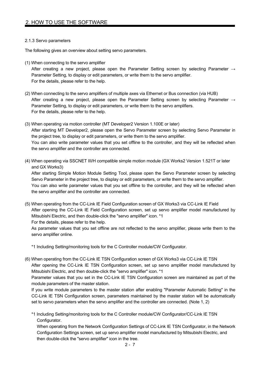#### 2.1.3 Servo parameters

The following gives an overview about setting servo parameters.

(1) When connecting to the servo amplifier

After creating a new project, please open the Parameter Setting screen by selecting Parameter  $\rightarrow$ Parameter Setting, to display or edit parameters, or write them to the servo amplifier. For the details, please refer to the help.

- (2) When connecting to the servo amplifiers of multiple axes via Ethernet or Bus connection (via HUB) After creating a new project, please open the Parameter Setting screen by selecting Parameter  $\rightarrow$ Parameter Setting, to display or edit parameters, or write them to the servo amplifiers. For the details, please refer to the help.
- (3) When operating via motion controller (MT Developer2 Version 1.100E or later) After starting MT Developer2, please open the Servo Parameter screen by selecting Servo Parameter in the project tree, to display or edit parameters, or write them to the servo amplifier. You can also write parameter values that you set offline to the controller, and they will be reflected when the servo amplifier and the controller are connected.
- (4) When operating via SSCNET III/H compatible simple motion module (GX Works2 Version 1.521T or later and GX Works3)

After starting Simple Motion Module Setting Tool, please open the Servo Parameter screen by selecting Servo Parameter in the project tree, to display or edit parameters, or write them to the servo amplifier. You can also write parameter values that you set offline to the controller, and they will be reflected when the servo amplifier and the controller are connected.

(5) When operating from the CC-Link IE Field Configuration screen of GX Works3 via CC-Link IE Field After opening the CC-Link IE Field Configuration screen, set up servo amplifier model manufactured by Mitsubishi Electric, and then double-click the "servo amplifier" icon. \*1 For the details, please refer to the help.

As parameter values that you set offline are not reflected to the servo amplifier, please write them to the servo amplifier online.

\*1 Including Setting/monitoring tools for the C Controller module/CW Configurator.

(6) When operating from the CC-Link IE TSN Configuration screen of GX Works3 via CC-Link IE TSN

After opening the CC-Link IE TSN Configuration screen, set up servo amplifier model manufactured by Mitsubishi Electric, and then double-click the "servo amplifier" icon. \*1

Parameter values that you set in the CC-Link IE TSN Configuration screen are maintained as part of the module parameters of the master station.

If you write module parameters to the master station after enabling "Parameter Automatic Setting" in the CC-Link IE TSN Configuration screen, parameters maintained by the master station will be automatically set to servo parameters when the servo amplifier and the controller are connected. (Note 1, 2)

\*1 Including Setting/monitoring tools for the C Controller module/CW Configurator/CC-Link IE TSN Configurator.

When operating from the Network Configuration Settings of CC-Link IE TSN Configurator, in the Network Configuration Settings screen, set up servo amplifier model manufactured by Mitsubishi Electric, and then double-click the "servo amplifier" icon in the tree.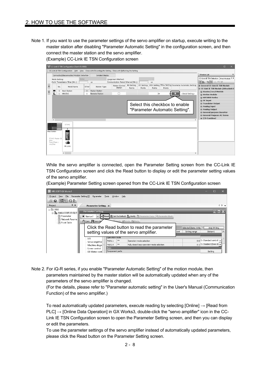Note 1. If you want to use the parameter settings of the servo amplifier on startup, execute writing to the master station after disabling "Parameter Automatic Setting" in the configuration screen, and then connect the master station and the servo amplifier. (Example) CC-Link IE TSN Configuration screen



While the servo amplifier is connected, open the Parameter Setting screen from the CC-Link IE TSN Configuration screen and click the Read button to display or edit the parameter setting values of the servo amplifier.

(Example) Parameter Setting screen opened from the CC-Link IE TSN Configuration screen

| MELSOFT GX Works3                                                                                            |                                                                                                                                                                                                                                                                                    |                                                                                      |  |  |
|--------------------------------------------------------------------------------------------------------------|------------------------------------------------------------------------------------------------------------------------------------------------------------------------------------------------------------------------------------------------------------------------------------|--------------------------------------------------------------------------------------|--|--|
| Project<br>File<br>Ŧ.<br>View<br>$\frac{1}{2}$ $\frac{1}{2}$ $\frac{1}{2}$ $\frac{1}{2}$ $\frac{1}{2}$<br>80 | Parameter Setting(Z)<br>Parameter<br>Tools<br>Window<br>Help                                                                                                                                                                                                                       |                                                                                      |  |  |
| $4 \times$<br>Project                                                                                        | Parameter Setting X                                                                                                                                                                                                                                                                | $\leftarrow$                                                                         |  |  |
| $\Box$ 0000<br>Station1:MR-J5-G(-F<br>· ■ Parameter<br>图 Network Parame<br><b>A</b> Point Table              | <b>Parameter Setting</b><br>Read <b>&amp; Set To Default</b> Way Verify <b>In Parameter Copy Read Block</b><br>Station1<br>$\vee$<br><b>D</b> Open Save As<br>Plaste Mundo A Redo<br>Click the Read button to read the parameter<br>setting values of the servo amplifier.<br>Unit | ▅▊▆▓<br>Selected Items Write<br>Axis Writing<br>$\sim$<br>Setting range<br>Station 1 |  |  |
|                                                                                                              | Operation mode<br>1/0<br>88<br>Operation mode selection<br>PA01.1<br>Servo amplifier                                                                                                                                                                                               | $0.8$ 0 : Standard control                                                           |  |  |
|                                                                                                              | **<br>Fully closed loop operation mode selection<br>PA01.4<br>Machine diagn                                                                                                                                                                                                        | $0-1$ 0 : Disabled (Semi clc $\rightarrow$                                           |  |  |
|                                                                                                              | Basic<br>Linear control<br>Component parts<br>DD Motor cont                                                                                                                                                                                                                        | Setting                                                                              |  |  |

Note 2. For iQ-R series, if you enable "Parameter Automatic Setting" of the motion module, then parameters maintained by the master station will be automatically updated when any of the parameters of the servo amplifier is changed.

(For the details, please refer to "Parameter automatic setting" in the User's Manual (Communication Function) of the servo amplifier.)

To read automatically updated parameters, execute reading by selecting [Online]  $\rightarrow$  [Read from PLC] → [Online Data Operation] in GX Works3, double-click the "servo amplifier" icon in the CC-Link IE TSN Configuration screen to open the Parameter Setting screen, and then you can display or edit the parameters.

To use the parameter settings of the servo amplifier instead of automatically updated parameters, please click the Read button on the Parameter Setting screen.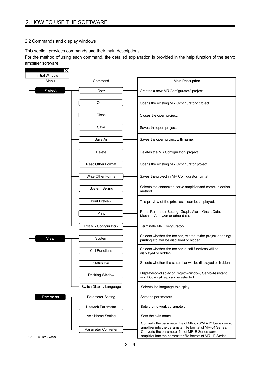### 2.2 Commands and display windows

This section provides commands and their main descriptions.

For the method of using each command, the detailed explanation is provided in the help function of the servo amplifier software.

| ∣×<br><b>Initial Window</b> |                          |                                                                                                                                                                                                                                        |
|-----------------------------|--------------------------|----------------------------------------------------------------------------------------------------------------------------------------------------------------------------------------------------------------------------------------|
| Menu<br>Command             |                          | <b>Main Description</b>                                                                                                                                                                                                                |
| Project                     | <b>New</b>               | Creates a new MR Configurator2 project.                                                                                                                                                                                                |
|                             | Open                     | Opens the existing MR Configurator2 project.                                                                                                                                                                                           |
|                             | Close                    | Closes the open project.                                                                                                                                                                                                               |
|                             | Save                     | Saves the open project.                                                                                                                                                                                                                |
|                             | Save As                  | Saves the open project with name.                                                                                                                                                                                                      |
|                             | Delete                   | Deletes the MR Configurator2 project.                                                                                                                                                                                                  |
|                             | <b>Read Other Format</b> | Opens the existing MR Configurator project.                                                                                                                                                                                            |
|                             | Write Other Format       | Saves the project in MR Configurator format.                                                                                                                                                                                           |
|                             | System Setting           | Selects the connected servo amplifier and communication<br>method.                                                                                                                                                                     |
|                             | <b>Print Preview</b>     | The preview of the print result can be displayed.                                                                                                                                                                                      |
|                             | Print                    | Prints Parameter Setting, Graph, Alarm Onset Data,<br>Machine Analyzer or other data.                                                                                                                                                  |
|                             | Exit MR Configurator2    | Terminate MR Configurator2.                                                                                                                                                                                                            |
| <b>View</b>                 | System                   | Selects whether the toolbar, related to the project opening/<br>printing etc, will be displayed or hidden.                                                                                                                             |
|                             | Call Functions           | Selects whether the toolbar to call functions will be<br>displayed or hidden.                                                                                                                                                          |
|                             | <b>Status Bar</b>        | Selects whether the status bar will be displayed or hidden.                                                                                                                                                                            |
|                             | Docking Window           | Display/non-display of Project-Window, Servo-Assistant<br>and Docking-Help can be selected.                                                                                                                                            |
|                             | Switch Display Language  | Selects the language to display.                                                                                                                                                                                                       |
| Parameter                   | Parameter Setting        | Sets the parameters.                                                                                                                                                                                                                   |
|                             | Network Parameter        | Sets the network parameters.                                                                                                                                                                                                           |
|                             | Axis Name Setting        | Sets the axis name.                                                                                                                                                                                                                    |
| To next page                | Parameter Converter      | Converts the parameter file of MR-J2S/MR-J3 Series servo<br>amplifier into the parameter file format of MR-J4 Series.<br>Converts the parameter file of MR-E Series servo<br>amplifier into the parameter file format of MR-JE Series. |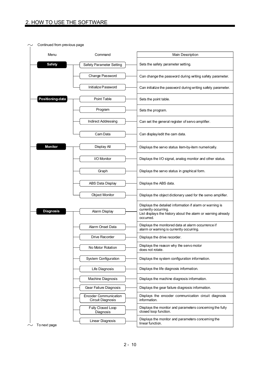|  | Continued from previous page |                                                   |                                                                                                                                                  |
|--|------------------------------|---------------------------------------------------|--------------------------------------------------------------------------------------------------------------------------------------------------|
|  | Menu                         | Command                                           | Main Description                                                                                                                                 |
|  | <b>Safety</b>                | Safety Parameter Setting                          | Sets the safety parameter setting.                                                                                                               |
|  |                              | Change Password                                   | Can change the password during writing safety parameter.                                                                                         |
|  |                              | Initialize Password                               | Can initialize the password during writing safety parameter.                                                                                     |
|  | Positioning-data             | Point Table                                       | Sets the point table.                                                                                                                            |
|  |                              | Program                                           | Sets the program.                                                                                                                                |
|  |                              | <b>Indirect Addressing</b>                        | Can set the general register of servo amplifier.                                                                                                 |
|  |                              | Cam Data                                          | Can display/edit the cam data.                                                                                                                   |
|  | <b>Monitor</b>               | Display All                                       | Displays the servo status item-by-item numerically.                                                                                              |
|  |                              | I/O Monitor                                       | Displays the I/O signal, analog monitor and other status.                                                                                        |
|  |                              | Graph                                             | Displays the servo status in graphical form.                                                                                                     |
|  |                              | ABS Data Display                                  | Displays the ABS data.                                                                                                                           |
|  |                              | <b>Object Monitor</b>                             | Displays the object dictionary used for the servo amplifier.                                                                                     |
|  | <b>Diagnosis</b>             | Alarm Display                                     | Displays the detailed information if alarm or warning is<br>currently occurring.<br>List displays the history about the alarm or warning already |
|  |                              |                                                   | occurred.                                                                                                                                        |
|  |                              | Alarm Onset Data                                  | Displays the monitored data at alarm occurrence if<br>alarm or waming is currently occurring.                                                    |
|  |                              | Drive Recorder                                    | Displays the drive recorder.                                                                                                                     |
|  |                              | No Motor Rotation                                 | Displays the reason why the servo motor<br>does not rotate.                                                                                      |
|  |                              | System Configuration                              | Displays the system configuration information.                                                                                                   |
|  |                              | Life Diagnosis                                    | Displays the life diagnosis information.                                                                                                         |
|  |                              | Machine Diagnosis                                 | Displays the machine diagnosis information.                                                                                                      |
|  |                              | Gear Failure Diagnosis                            | Displays the gear failure diagnosis information.                                                                                                 |
|  |                              | <b>Encoder Communication</b><br>Circuit Diagnosis | Displays the encoder communication circuit diagnosis<br>information.                                                                             |
|  |                              | Fully Closed Loop<br>Diagnosis                    | Displays the monitor and parameters conceming the fully<br>closed loop function.                                                                 |
|  | To next page                 | Linear Diagnosis                                  | Displays the monitor and parameters concerning the<br>linear function.                                                                           |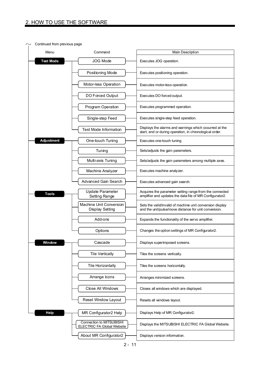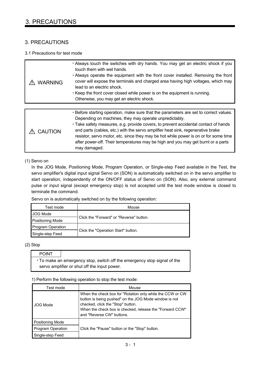## 3. PRECAUTIONS

## 3. PRECAUTIONS

## 3.1 Precautions for test mode

| <b>WARNING</b> | • Always touch the switches with dry hands. You may get an electric shock if you<br>touch them with wet hands.<br>. Always operate the equipment with the front cover installed. Removing the front<br>cover will expose the terminals and charged area having high voltages, which may<br>lead to an electric shock.<br>Keep the front cover closed while power is on the equipment is running.<br>Otherwise, you may get an electric shock.                                                                         |
|----------------|-----------------------------------------------------------------------------------------------------------------------------------------------------------------------------------------------------------------------------------------------------------------------------------------------------------------------------------------------------------------------------------------------------------------------------------------------------------------------------------------------------------------------|
|                |                                                                                                                                                                                                                                                                                                                                                                                                                                                                                                                       |
| <b>CAUTION</b> | . Before starting operation, make sure that the parameters are set to correct values.<br>Depending on machines, they may operate unpredictably.<br>• Take safety measures, e.g. provide covers, to prevent accidental contact of hands<br>and parts (cables, etc.) with the servo amplifier heat sink, regenerative brake<br>resistor, servo motor, etc. since they may be hot while power is on or for some time<br>after power-off. Their temperatures may be high and you may get burnt or a parts<br>may damaged. |

### (1) Servo on

In the JOG Mode, Positioning Mode, Program Operation, or Single-step Feed available in the Test, the servo amplifier's digital input signal Servo on (SON) is automatically switched on in the servo amplifier to start operation, independently of the ON/OFF status of Servo on (SON). Also, any external command pulse or input signal (except emergency stop) is not accepted until the test mode window is closed to terminate the command.

Servo on is automatically switched on by the following operation:

| Test mode         | Mouse                                    |  |
|-------------------|------------------------------------------|--|
| JOG Mode          |                                          |  |
| Positioning Mode  | Click the "Forward" or "Reverse" button. |  |
| Program Operation |                                          |  |
| Single-step Feed  | Click the "Operation Start" button.      |  |

(2) Stop

| <b>POINT</b> |                                                                          |
|--------------|--------------------------------------------------------------------------|
|              | • To make an emergency stop, switch off the emergency stop signal of the |
|              | servo amplifier or shut off the input power.                             |

### 1) Perform the following operation to stop the test mode:

| Test mode               | Mouse                                                                                                                                                                                                                                            |
|-------------------------|--------------------------------------------------------------------------------------------------------------------------------------------------------------------------------------------------------------------------------------------------|
| <b>JOG Mode</b>         | When the check box for "Rotation only while the CCW or CW<br>button is being pushed" on the JOG Mode window is not<br>checked, click the "Stop" button.<br>When the check box is checked, release the "Forward CCW"<br>and "Reverse CW" buttons. |
| <b>Positioning Mode</b> |                                                                                                                                                                                                                                                  |
| Program Operation       | Click the "Pause" button or the "Stop" button.                                                                                                                                                                                                   |
| Single-step Feed        |                                                                                                                                                                                                                                                  |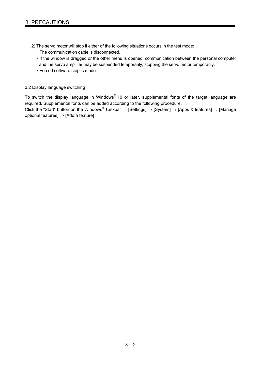- 2) The servo motor will stop if either of the following situations occurs in the test mode:
	- The communication cable is disconnected.
	- . If the window is dragged or the other menu is opened, communication between the personal computer and the servo amplifier may be suspended temporarily, stopping the servo motor temporarily.
	- Forced software stop is made.

#### 3.2 Display language switching

To switch the display language in Windows® 10 or later, supplemental fonts of the target language are required. Supplemental fonts can be added according to the following procedure.

Click the "Start" button on the Windows® Taskbar  $\rightarrow$  [Settings]  $\rightarrow$  [System]  $\rightarrow$  [Apps & features]  $\rightarrow$  [Manage optional features]  $\rightarrow$  [Add a feature]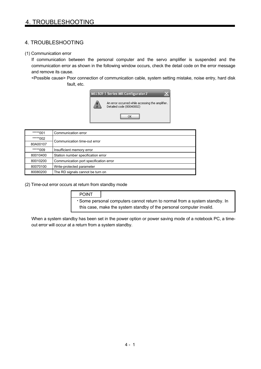#### (1) Communication error

If communication between the personal computer and the servo amplifier is suspended and the communication error as shown in the following window occurs, check the detail code on the error message and remove its cause.

<Possible cause> Poor connection of communication cable, system setting mistake, noise entry, hard disk fault, etc.



| *****001 | Communication error                    |  |
|----------|----------------------------------------|--|
| *****002 | Communication time-out error           |  |
| 80A00107 |                                        |  |
| *****009 | Insufficient memory error              |  |
| 80010400 | Station number specification error     |  |
| 80010200 | Communication port specification error |  |
| 80070100 | Write-protected parameter              |  |
| 80080200 | The RD signals cannot be turn on       |  |

(2) Time-out error occurs at return from standby mode

POINT Some personal computers cannot return to normal from a system standby. In this case, make the system standby of the personal computer invalid.

When a system standby has been set in the power option or power saving mode of a notebook PC, a timeout error will occur at a return from a system standby.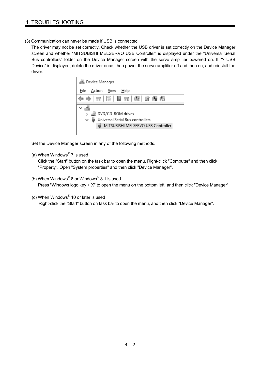(3) Communication can never be made if USB is connected

The driver may not be set correctly. Check whether the USB driver is set correctly on the Device Manager screen and whether "MITSUBISHI MELSERVO USB Controller" is displayed under the "Universal Serial Bus controllers" folder on the Device Manager screen with the servo amplifier powered on. If "? USB Device" is displayed, delete the driver once, then power the servo amplifier off and then on, and reinstall the driver.



Set the Device Manager screen in any of the following methods.

(a) When Windows<sup>®</sup> 7 is used

Click the "Start" button on the task bar to open the menu. Right-click "Computer" and then click "Property". Open "System properties" and then click "Device Manager".

- (b) When Windows® 8 or Windows® 8.1 is used Press "Windows logo key + X" to open the menu on the bottom left, and then click "Device Manager".
- (c) When Windows® 10 or later is used

Right-click the "Start" button on task bar to open the menu, and then click "Device Manager".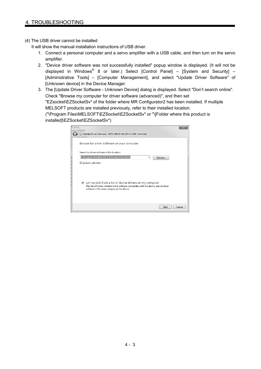(4) The USB driver cannot be installed

It will show the manual installation instructions of USB driver.

- 1. Connect a personal computer and a servo amplifier with a USB cable, and then turn on the servo amplifier.
- 2. "Device driver software was not successfully installed" popup window is displayed. (It will not be displayed in Windows<sup>®</sup> 8 or later.) Select [Control Panel] – [System and Security] – [Administrative Tools] – [Computer Management], and select "Update Driver Software" of [Unknown device] in the Device Manager.
- 3. The [Update Driver Software Unknown Device] dialog is displayed. Select "Don't search online". Check "Browse my computer for driver software (advanced)", and then set "EZsocket\EZSocketSv" of the folder where MR Configurator2 has been installed. If multiple MELSOFT products are installed previously, refer to their installed location. ("\Program Files\MELSOFT\EZSocket\EZSocketSv" or "\[Folder where this product is installed]\EZSocket\EZSocketSv")

| Update Driver Software - MITSUBISHI MELSERVO USB Controller                                                                                                                                                        |
|--------------------------------------------------------------------------------------------------------------------------------------------------------------------------------------------------------------------|
| Browse for driver software on your computer                                                                                                                                                                        |
| Search for driver software in this location:                                                                                                                                                                       |
| C:\Program Files\MELSOFT\EZSocket\EZSocketSv<br>Browse                                                                                                                                                             |
| Include subfolders                                                                                                                                                                                                 |
| $\rightarrow$ Let me pick from a list of device drivers on my computer<br>This list will show installed driver software compatible with the device, and all driver<br>software in the same category as the device. |
| Cancel<br>Next                                                                                                                                                                                                     |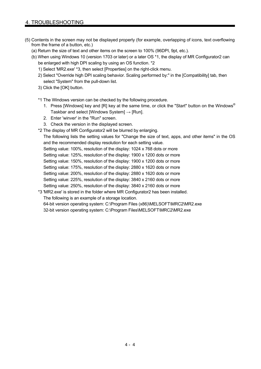- (5) Contents in the screen may not be displayed properly (for example, overlapping of icons, text overflowing from the frame of a button, etc.)
	- (a) Return the size of text and other items on the screen to 100% (96DPI, 9pt, etc.).
	- (b) When using Windows 10 (version 1703 or later) or a later OS \*1, the display of MR Configurator2 can be enlarged with high DPI scaling by using an OS function. \*2
		- 1) Select 'MR2.exe' \*3, then select [Properties] on the right-click menu.
		- 2) Select "Override high DPI scaling behavior. Scaling performed by:" in the [Compatibility] tab, then select "System" from the pull-down list.
		- 3) Click the [OK] button.
		- \*1 The Windows version can be checked by the following procedure.
			- 1. Press [Windows] key and [R] key at the same time, or click the "Start" button on the Windows<sup>®</sup> Taskbar and select [Windows System]  $\rightarrow$  [Run].
			- 2. Enter 'winver' in the "Run" screen.
			- 3. Check the version in the displayed screen.
		- \*2 The display of MR Configurator2 will be blurred by enlarging.

The following lists the setting values for "Change the size of text, apps, and other items" in the OS and the recommended display resolution for each setting value.

Setting value: 100%, resolution of the display: 1024 x 768 dots or more

Setting value: 125%, resolution of the display: 1900 x 1200 dots or more

Setting value: 150%, resolution of the display: 1900 x 1200 dots or more

Setting value: 175%, resolution of the display: 2880 x 1620 dots or more

Setting value: 200%, resolution of the display: 2880 x 1620 dots or more

Setting value: 225%, resolution of the display: 3840 x 2160 dots or more

Setting value: 250%, resolution of the display: 3840 x 2160 dots or more

\*3 'MR2.exe' is stored in the folder where MR Configurator2 has been installed.

The following is an example of a storage location.

64-bit version operating system: C:\Program Files (x86)\MELSOFT\MRC2\MR2.exe

32-bit version operating system: C:\Program Files\MELSOFT\MRC2\MR2.exe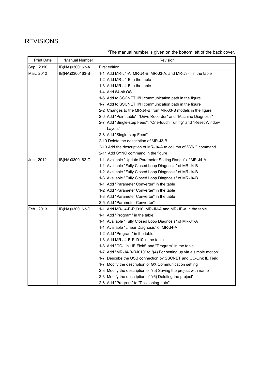## REVISIONS

\*The manual number is given on the bottom left of the back cover.

| <b>Print Date</b> | *Manual Number  | Revision                                                            |
|-------------------|-----------------|---------------------------------------------------------------------|
| Sep., 2010        | IB(NA)0300163-A | First edition                                                       |
| Mar., 2012        | IB(NA)0300163-B | 1-1 Add MR-J4-A, MR-J4-B, MR-J3-A, and MR-J3-T in the table         |
|                   |                 | 1-2 Add MR-J4-B in the table                                        |
|                   |                 | 1-3 Add MR-J4-B in the table                                        |
|                   |                 | 1-4 Add 64-bit OS                                                   |
|                   |                 | 1-6 Add to SSCNETIII/H communication path in the figure             |
|                   |                 | 1-7 Add to SSCNETIII/H communication path in the figure             |
|                   |                 | 2-2 Changes to the MR-J4-B from MR-J3-B models in the figure        |
|                   |                 | 2-6 Add "Point table", "Drive Recorder" and "Machine Diagnosis"     |
|                   |                 | 2-7 Add "Single-step Feed", "One-touch Tuning" and "Reset Window    |
|                   |                 | Layout"                                                             |
|                   |                 | 2-8 Add "Single-step Feed"                                          |
|                   |                 | 2-10 Delete the description of MR-J3-B                              |
|                   |                 | 2-10 Add the description of MR-J4-A to column of SYNC command       |
|                   |                 | 2-11 Add SYNC command in the figure                                 |
| Jun., 2012        | IB(NA)0300163-C | 1-1 Available "Update Parameter Setting Range" of MR-J4-A           |
|                   |                 | 1-1 Available "Fully Closed Loop Diagnosis" of MR-J4-B              |
|                   |                 | 1-2 Available "Fully Closed Loop Diagnosis" of MR-J4-B              |
|                   |                 | 1-3 Available "Fully Closed Loop Diagnosis" of MR-J4-B              |
|                   |                 | 1-1 Add "Parameter Converter" in the table                          |
|                   |                 | 1-2 Add "Parameter Converter" in the table                          |
|                   |                 | 1-3 Add "Parameter Converter" in the table                          |
|                   |                 | 2-5 Add "Parameter Converter"                                       |
| Feb., 2013        | IB(NA)0300163-D | 1-1 Add MR-J4-B-RJ010, MR-JN-A and MR-JE-A in the table             |
|                   |                 | 1-1 Add "Program" in the table                                      |
|                   |                 | 1-1 Available "Fully Closed Loop Diagnosis" of MR-J4-A              |
|                   |                 | 1-1 Available "Linear Diagnosis" of MR-J4-A                         |
|                   |                 | 1-2 Add "Program" in the table                                      |
|                   |                 | 1-3 Add MR-J4-B-RJ010 in the table                                  |
|                   |                 | 1-3 Add "CC-Link IE Field" and "Program" in the table               |
|                   |                 | 1-7 Add "MR-J4-B-RJ010" to "(4) For setting up via a simple motion" |
|                   |                 | 1-7 Describe the USB connection by SSCNET and CC-Link IE Field      |
|                   |                 | 1-7 Modify the description of GX Communication setting              |
|                   |                 | 2-3 Modify the description of "(5) Saving the project with name"    |
|                   |                 | 2-3 Modify the description of "(6) Deleting the project"            |
|                   |                 | 2-6 Add "Program" to "Positioning-data"                             |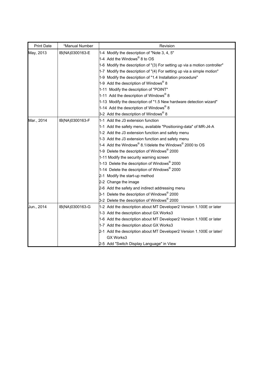| <b>Print Date</b> | *Manual Number  | Revision                                                                        |
|-------------------|-----------------|---------------------------------------------------------------------------------|
| May, 2013         | IB(NA)0300163-E | 1-4 Modify the description of "Note 3, 4, 5"                                    |
|                   |                 | 1-4 Add the Windows <sup>®</sup> 8 to OS                                        |
|                   |                 | 1-6 Modify the description of "(3) For setting up via a motion controller"      |
|                   |                 | 1-7 Modify the description of "(4) For setting up via a simple motion"          |
|                   |                 | 1-9 Modify the description of "1.4 Installation procedure"                      |
|                   |                 | 1-9 Add the description of Windows <sup>®</sup> 8                               |
|                   |                 | 1-11 Modify the description of "POINT"                                          |
|                   |                 | 1-11 Add the description of Windows <sup>®</sup> 8                              |
|                   |                 | 1-13 Modify the description of "1.5 New hardware detection wizard"              |
|                   |                 | 1-14 Add the description of Windows <sup>®</sup> 8                              |
|                   |                 | 3-2 Add the description of Windows <sup>®</sup> 8                               |
| Mar., 2014        | IB(NA)0300163-F | 1-1 Add the J3 extension function                                               |
|                   |                 | 1-1 Add the safety menu, available "Positioning-data" of MR-J4-A                |
|                   |                 | 1-2 Add the J3 extension function and safety menu                               |
|                   |                 | 1-3 Add the J3 extension function and safety menu                               |
|                   |                 | 1-4 Add the Windows <sup>®</sup> 8.1/delete the Windows <sup>®</sup> 2000 to OS |
|                   |                 | 1-9 Delete the description of Windows® 2000                                     |
|                   |                 | 1-11 Modify the security warning screen                                         |
|                   |                 | 1-13 Delete the description of Windows <sup>®</sup> 2000                        |
|                   |                 | 1-14 Delete the description of Windows <sup>®</sup> 2000                        |
|                   |                 | 2-1 Modify the start-up method                                                  |
|                   |                 | 2-2 Change the image                                                            |
|                   |                 | 2-6 Add the safety and indirect addressing menu                                 |
|                   |                 | 3-1 Delete the description of Windows® 2000                                     |
|                   |                 | 3-2 Delete the description of Windows <sup>®</sup> 2000                         |
| Jun., 2014        | IB(NA)0300163-G | 1-2 Add the description about MT Developer2 Version 1.100E or later             |
|                   |                 | 1-3 Add the description about GX Works3                                         |
|                   |                 | 1-6 Add the description about MT Developer2 Version 1.100E or later             |
|                   |                 | 1-7 Add the description about GX Works3                                         |
|                   |                 | 2-1 Add the description about MT Developer2 Version 1.100E or later/            |
|                   |                 | GX Works3                                                                       |
|                   |                 | 2-5 Add "Switch Display Language" in View                                       |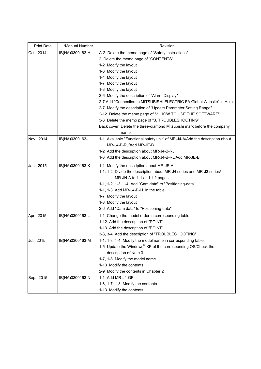| <b>Print Date</b> | *Manual Number  | Revision                                                                       |
|-------------------|-----------------|--------------------------------------------------------------------------------|
| Oct., 2014        | IB(NA)0300163-H | A-2 Delete the memo page of "Safety Instructions"                              |
|                   |                 | 2 Delete the memo page of "CONTENTS"                                           |
|                   |                 | 1-2 Modify the layout                                                          |
|                   |                 | 1-3 Modify the layout                                                          |
|                   |                 | 1-4 Modify the layout                                                          |
|                   |                 | 1-7 Modify the layout                                                          |
|                   |                 | 1-8 Modify the layout                                                          |
|                   |                 | 2-6 Modify the description of "Alarm Display"                                  |
|                   |                 | 2-7 Add "Connection to MITSUBISHI ELECTRIC FA Global Website" in Help          |
|                   |                 | 2-7 Modify the description of "Update Parameter Setting Range"                 |
|                   |                 | 2-12 Delete the memo page of "2. HOW TO USE THE SOFTWARE"                      |
|                   |                 | 3-3 Delete the memo page of "3. TROUBLESHOOTING"                               |
|                   |                 | Back cover Delete the three-diamond Mitsubishi mark before the company<br>name |
| Nov., 2014        | IB(NA)0300163-J | 1-1 Available "Functional safety unit" of MR-J4-A/Add the description about    |
|                   |                 | MR-J4-B-RJ/Add MR-JE-B                                                         |
|                   |                 | 1-2 Add the description about MR-J4-B-RJ                                       |
|                   |                 | 1-3 Add the description about MR-J4-B-RJ/Add MR-JE-B                           |
| Jan., 2015        | IB(NA)0300163-K | 1-1 Modify the description about MR-JE-A                                       |
|                   |                 | 1-1, 1-2 Divide the description about MR-J4 series and MR-J3 series/           |
|                   |                 | MR-JN-A to 1-1 and 1-2 pages                                                   |
|                   |                 | 1-1, 1-2, 1-3, 1-4 Add "Cam data" to "Positioning-data"                        |
|                   |                 | 1-1, 1-3 Add MR-J4-B-LL in the table                                           |
|                   |                 | 1-7 Modify the layout                                                          |
|                   |                 | 1-8 Modify the layout                                                          |
|                   |                 | 2-6 Add "Cam data" to "Positioning-data"                                       |
| Apr., 2015        | IB(NA)0300163-L | 1-1 Change the model order in corresponding table                              |
|                   |                 | 1-12 Add the description of "POINT"                                            |
|                   |                 | 1-13 Add the description of "POINT"                                            |
|                   |                 | 3-3, 3-4 Add the description of "TROUBLESHOOTING"                              |
| Jul., 2015        | IB(NA)0300163-M | 1-1, 1-3, 1-4 Modify the model name in corresponding table                     |
|                   |                 | 1-5 Update the Windows <sup>®</sup> XP of the corresponding OS/Check the       |
|                   |                 | description of Note 3                                                          |
|                   |                 | 1-7, 1-8 Modify the model name                                                 |
|                   |                 | 1-13 Modify the contents                                                       |
|                   |                 | 2-9 Modify the contents in Chapter 2                                           |
| Sep., 2015        | IB(NA)0300163-N | 1-1 Add MR-J4-GF                                                               |
|                   |                 | 1-6, 1-7, 1-8 Modify the contents                                              |
|                   |                 | 1-13 Modify the contents                                                       |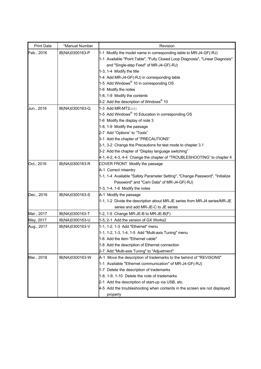| <b>Print Date</b> | *Manual Number  | Revision                                                                       |
|-------------------|-----------------|--------------------------------------------------------------------------------|
| Feb., 2016        | IB(NA)0300163-P | 1-1 Modify the model name in corresponding table to MR-J4-GF(-RJ)              |
|                   |                 | 1-1 Available "Point Table", "Fully Closed Loop Diagnosis", "Linear Diagnosis" |
|                   |                 | and "Single-step Feed" of MR-J4-GF(-RJ)                                        |
|                   |                 | 1-3, 1-4 Modify the title                                                      |
|                   |                 | 1-4 Add MR-J4-GF(-RJ) in corresponding table                                   |
|                   |                 | 1-5 Add Windows <sup>®</sup> 10 in corresponding OS                            |
|                   |                 | 1-6 Modify the notes                                                           |
|                   |                 | 1-8, 1-9 Modify the contents                                                   |
|                   |                 | 3-2 Add the description of Windows <sup>®</sup> 10                             |
| Jun., 2016        | IB(NA)0300163-Q | 1-3 Add MR-MT2000                                                              |
|                   |                 | 1-5 Add Windows <sup>®</sup> 10 Education in corresponding OS                  |
|                   |                 | 1-6 Modify the display of note 3                                               |
|                   |                 | 1-8, 1-9 Modify the passage                                                    |
|                   |                 | 2-7 Add "Options" to "Tools"                                                   |
|                   |                 | 3-1 Add the chapter of "PRECAUTIONS"                                           |
|                   |                 | 3-1, 3-2 Change the Precautions for test mode to chapter 3.1                   |
|                   |                 | 3-2 Add the chapter of "Display language switching"                            |
|                   |                 | 4-1, 4-2, 4-3, 4-4 Change the chapter of "TROUBLESHOOTING" to chapter 4        |
| Oct., 2016        | IB(NA)0300163-R | COVER FRONT Modify the passage                                                 |
|                   |                 | A-1 Correct misentry                                                           |
|                   |                 | 1-1, 1-4 Available "Safety Parameter Setting", "Change Password", "Initialize  |
|                   |                 | Password" and "Cam Data" of MR-J4-GF(-RJ)                                      |
|                   |                 | 1-3, 1-4, 1-6 Modify the notes                                                 |
| Dec., 2016        | IB(NA)0300163-S | A-1 Modify the passage                                                         |
|                   |                 | 1-1, 1-2 Divide the description about MR-JE series from MR-J4 series/MR-JE     |
|                   |                 | series and add MR-JE-C to JE series                                            |
| Mar., 2017        | IB(NA)0300163-T | 1-2, 1-5 Change MR-JE-B to MR-JE-B(F)                                          |
| May, 2017         | IB(NA)0300163-U | 1-5, 2-1 Add the version of GX Works2                                          |
| Aug., 2017        | IB(NA)0300163-V | 1-1, 1-2, 1-3 Add "Ethernet" menu                                              |
|                   |                 | 1-1, 1-2, 1-3, 1-4, 1-5 Add "Multi-axis Tuning" menu                           |
|                   |                 | 1-6 Add the item "Ethernet cable"                                              |
|                   |                 | 1-8 Add the description of Ethernet connection                                 |
|                   |                 | 2-7 Add "Multi-axis Tuning" to "Adjustment"                                    |
| Mar., 2018        | IB(NA)0300163-W | A-1 Move the description of trademarks to the behind of "REVISONS"             |
|                   |                 | 1-1 Available "Ethernet communication" of MR-J4-GF(-RJ)                        |
|                   |                 | 1-7 Delete the description of trademarks                                       |
|                   |                 | 1-8, 1-9, 1-10 Delete the note of trademarks                                   |
|                   |                 | 2-1 Add the description of start-up via USB, etc.                              |
|                   |                 | 4-5 Add the troubleshooting when contents in the screen are not displayed      |
|                   |                 | properly                                                                       |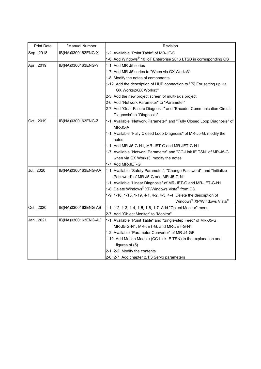| <b>Print Date</b> | *Manual Number      | Revision                                                               |
|-------------------|---------------------|------------------------------------------------------------------------|
| Sep., 2018        | IB(NA)0300163ENG-X  | 1-2 Available "Point Table" of MR-JE-C                                 |
|                   |                     | 1-6 Add Windows® 10 IoT Enterprise 2016 LTSB in corresponding OS       |
| Apr., 2019        | IB(NA)0300163ENG-Y  | 11-1 Add MR-J5 series                                                  |
|                   |                     | 1-7 Add MR-J5 series to "When via GX Works3"                           |
|                   |                     | 1-8 Modify the notes of components                                     |
|                   |                     | 1-12 Add the description of HUB connection to "(5) For setting up via  |
|                   |                     | GX Works2/GX Works3"                                                   |
|                   |                     | 2-3 Add the new project screen of multi-axis project                   |
|                   |                     | 2-6 Add "Network Parameter" to "Parameter"                             |
|                   |                     | 2-7 Add "Gear Failure Diagnosis" and "Encoder Communication Circuit    |
|                   |                     | Diagnosis" to "Diagnosis"                                              |
| Oct., 2019        | IB(NA)0300163ENG-Z  | 1-1 Available "Network Parameter" and "Fully Closed Loop Diagnosis" of |
|                   |                     | MR-J5-A                                                                |
|                   |                     | 1-1 Available "Fully Closed Loop Diagnosis" of MR-J5-G, modify the     |
|                   |                     | notes                                                                  |
|                   |                     | 1-1 Add MR-J5-G-N1, MR-JET-G and MR-JET-G-N1                           |
|                   |                     | 1-7 Available "Network Parameter" and "CC-Link IE TSN" of MR-J5-G      |
|                   |                     | when via GX Works3, modify the notes                                   |
|                   |                     | 1-7 Add MR-JET-G                                                       |
| Jul., 2020        | IB(NA)0300163ENG-AA | 1-1 Available "Safety Parameter", "Change Password", and "Initialize   |
|                   |                     | Password" of MR-J5-G and MR-J5-G-N1                                    |
|                   |                     | 1-1 Available "Linear Diagnosis" of MR-JET-G and MR-JET-G-N1           |
|                   |                     | 1-8 Delete Windows® XP/Windows Vista® from OS                          |
|                   |                     | 1-9, 1-16, 1-18, 1-19, 4-1, 4-2, 4-3, 4-4 Delete the description of    |
|                   |                     | Windows® XP/Windows Vista®                                             |
| Oct., 2020        | IB(NA)0300163ENG-AB | 1-1, 1-2, 1-3, 1-4, 1-5, 1-6, 1-7 Add "Object Monitor" menu            |
|                   |                     | 2-7 Add "Object Monitor" to "Monitor"                                  |
| Jan., 2021        | IB(NA)0300163ENG-AC | 1-1 Available "Point Table" and "Single-step Feed" of MR-J5-G,         |
|                   |                     | MR-J5-G-N1, MR-JET-G, and MR-JET-G-N1                                  |
|                   |                     | 1-2 Available "Parameter Converter" of MR-J4-GF                        |
|                   |                     | 1-12 Add Motion Module (CC-Link IE TSN) to the explanation and         |
|                   |                     | figures of $(5)$                                                       |
|                   |                     | 2-1, 2-2 Modify the contents                                           |
|                   |                     | 2-6, 2-7 Add chapter 2.1.3 Servo parameters                            |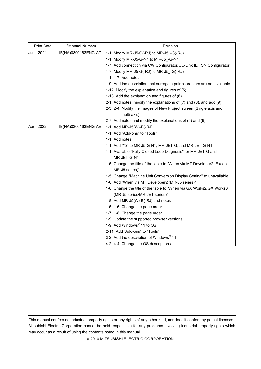| <b>Print Date</b> | *Manual Number      | Revision                                                                                                                                                                                                                                                                                                                                                                                                                                                                                                                                                                                                                                                                                                                                                                                                                                                                   |
|-------------------|---------------------|----------------------------------------------------------------------------------------------------------------------------------------------------------------------------------------------------------------------------------------------------------------------------------------------------------------------------------------------------------------------------------------------------------------------------------------------------------------------------------------------------------------------------------------------------------------------------------------------------------------------------------------------------------------------------------------------------------------------------------------------------------------------------------------------------------------------------------------------------------------------------|
| Jun., 2021        | IB(NA)0300163ENG-AD | 1-1 Modify MR-J5-G(-RJ) to MR-J5 -G(-RJ)<br>1-1 Modify MR-J5-G-N1 to MR-J5_-G-N1<br>1-7 Add connection via CW Configurator/CC-Link IE TSN Configurator<br>1-7 Modify MR-J5-G(-RJ) to MR-J5 $-G(-RJ)$<br>1-1, 1-7 Add notes<br>1-9 Add the description that surrogate pair characters are not available<br>$1-12$ Modify the explanation and figures of (5)<br>$1-13$ Add the explanation and figures of (6)                                                                                                                                                                                                                                                                                                                                                                                                                                                                |
|                   |                     | $2-1$ Add notes, modify the explanations of (7) and (8), and add (9)<br>2-3, 2-4 Modify the images of New Project screen (Single axis and<br>multi-axis)<br>2-7 Add notes and modify the explanations of (5) and (6)                                                                                                                                                                                                                                                                                                                                                                                                                                                                                                                                                                                                                                                       |
| Apr., 2022        | IB(NA)0300163ENG-AE | $1-1$ Add MR-J5(W)-B(-RJ)<br>1-1 Add "Add-ons" to "Tools"<br>1-1 Add notes<br>1-1 Add "*5" to MR-J5-G-N1, MR-JET-G, and MR-JET-G-N1<br>1-1 Available "Fully Closed Loop Diagnosis" for MR-JET-G and<br>MR-JET-G-N1<br>1-5 Change the title of the table to "When via MT Developer2 (Except<br>MR-J5 series)"<br>1-5 Change "Machine Unit Conversion Display Setting" to unavailable<br>1-6 Add "When via MT Developer2 (MR-J5 series)"<br>1-8 Change the title of the table to "When via GX Works2/GX Works3<br>(MR-J5 series/MR-JET series)"<br>1-8 Add MR-J5(W)-B(-RJ) and notes<br>1-5, 1-6 Change the page order<br>1-7, 1-8 Change the page order<br>1-9 Update the supported browser versions<br>1-9 Add Windows <sup>®</sup> 11 to OS<br>2-11 Add "Add-ons" to "Tools"<br>3-2 Add the description of Windows <sup>®</sup> 11<br>4-2, 4-4 Change the OS descriptions |

This manual confers no industrial property rights or any rights of any other kind, nor does it confer any patent licenses. Mitsubishi Electric Corporation cannot be held responsible for any problems involving industrial property rights which may occur as a result of using the contents noted in this manual.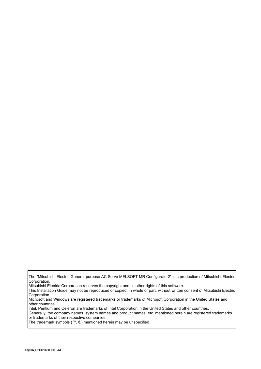The "Mitsubishi Electric General-purpose AC Servo MELSOFT MR Configurator2" is a production of Mitsubishi Electric Corporation.

Mitsubishi Electric Corporation reserves the copyright and all other rights of this software.

This Installation Guide may not be reproduced or copied, in whole or part, without written consent of Mitsubishi Electric Corporation.

Microsoft and Windows are registered trademarks or trademarks of Microsoft Corporation in the United States and other countries.

Intel, Pentium and Celeron are trademarks of Intel Corporation in the United States and other countries.

Generally, the company names, system names and product names, etc. mentioned herein are registered trademarks or trademarks of their respective companies.

The trademark symbols (™, ®) mentioned herein may be unspecified.